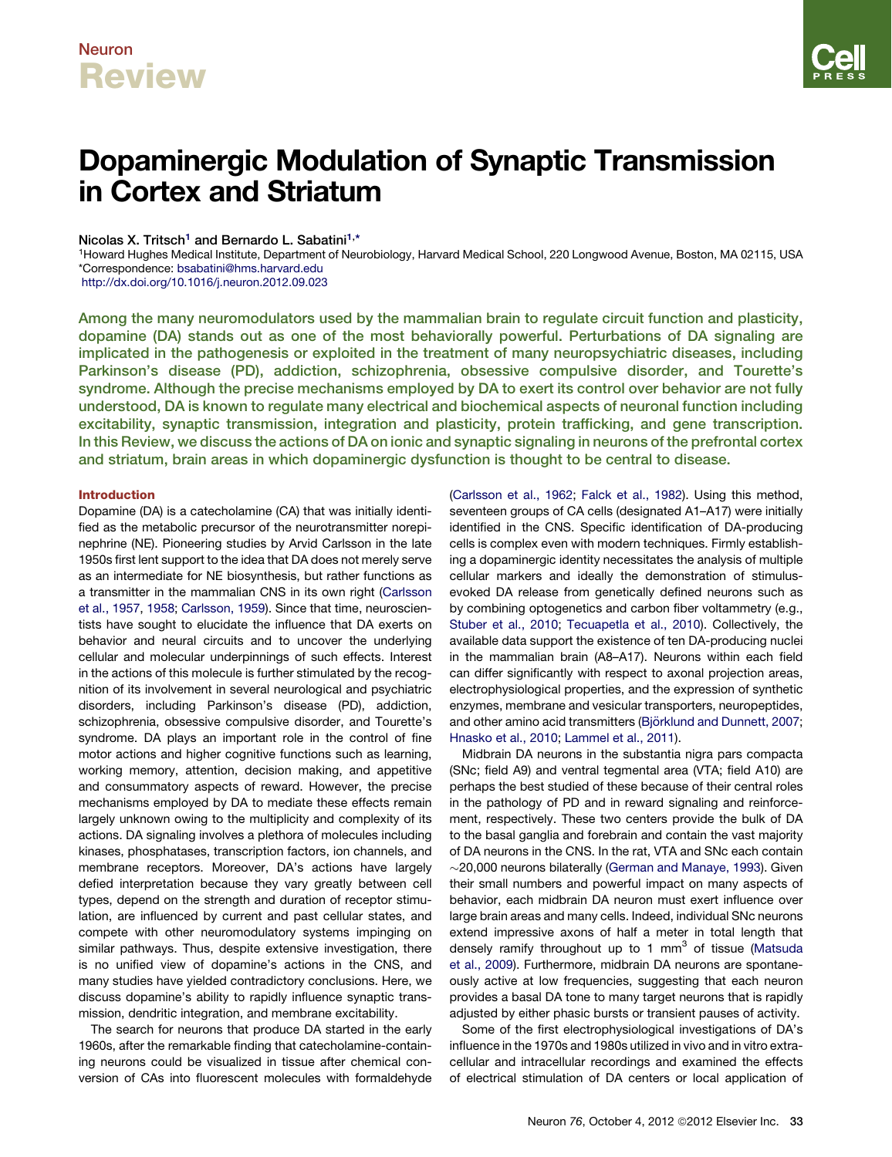# Dopaminergic Modulation of Synaptic Transmission in Cortex and Striatum

Nicolas X. Tritsch<sup>1</sup> and Bernardo L. Sabatini<sup>1,\*</sup>

1Howard Hughes Medical Institute, Department of Neurobiology, Harvard Medical School, 220 Longwood Avenue, Boston, MA 02115, USA \*Correspondence: [bsabatini@hms.harvard.edu](mailto:bsabatini@hms.harvard.edu)

<http://dx.doi.org/10.1016/j.neuron.2012.09.023>

Among the many neuromodulators used by the mammalian brain to regulate circuit function and plasticity, dopamine (DA) stands out as one of the most behaviorally powerful. Perturbations of DA signaling are implicated in the pathogenesis or exploited in the treatment of many neuropsychiatric diseases, including Parkinson's disease (PD), addiction, schizophrenia, obsessive compulsive disorder, and Tourette's syndrome. Although the precise mechanisms employed by DA to exert its control over behavior are not fully understood, DA is known to regulate many electrical and biochemical aspects of neuronal function including excitability, synaptic transmission, integration and plasticity, protein trafficking, and gene transcription. In this Review, we discuss the actions of DA on ionic and synaptic signaling in neurons of the prefrontal cortex and striatum, brain areas in which dopaminergic dysfunction is thought to be central to disease.

#### Introduction

Dopamine (DA) is a catecholamine (CA) that was initially identified as the metabolic precursor of the neurotransmitter norepinephrine (NE). Pioneering studies by Arvid Carlsson in the late 1950s first lent support to the idea that DA does not merely serve as an intermediate for NE biosynthesis, but rather functions as a transmitter in the mammalian CNS in its own right ([Carlsson](#page-12-0) [et al., 1957,](#page-12-0) [1958](#page-12-0); [Carlsson, 1959](#page-12-0)). Since that time, neuroscientists have sought to elucidate the influence that DA exerts on behavior and neural circuits and to uncover the underlying cellular and molecular underpinnings of such effects. Interest in the actions of this molecule is further stimulated by the recognition of its involvement in several neurological and psychiatric disorders, including Parkinson's disease (PD), addiction, schizophrenia, obsessive compulsive disorder, and Tourette's syndrome. DA plays an important role in the control of fine motor actions and higher cognitive functions such as learning, working memory, attention, decision making, and appetitive and consummatory aspects of reward. However, the precise mechanisms employed by DA to mediate these effects remain largely unknown owing to the multiplicity and complexity of its actions. DA signaling involves a plethora of molecules including kinases, phosphatases, transcription factors, ion channels, and membrane receptors. Moreover, DA's actions have largely defied interpretation because they vary greatly between cell types, depend on the strength and duration of receptor stimulation, are influenced by current and past cellular states, and compete with other neuromodulatory systems impinging on similar pathways. Thus, despite extensive investigation, there is no unified view of dopamine's actions in the CNS, and many studies have yielded contradictory conclusions. Here, we discuss dopamine's ability to rapidly influence synaptic transmission, dendritic integration, and membrane excitability.

The search for neurons that produce DA started in the early 1960s, after the remarkable finding that catecholamine-containing neurons could be visualized in tissue after chemical conversion of CAs into fluorescent molecules with formaldehyde [\(Carlsson et al., 1962](#page-12-0); [Falck et al., 1982](#page-13-0)). Using this method, seventeen groups of CA cells (designated A1–A17) were initially identified in the CNS. Specific identification of DA-producing cells is complex even with modern techniques. Firmly establishing a dopaminergic identity necessitates the analysis of multiple cellular markers and ideally the demonstration of stimulusevoked DA release from genetically defined neurons such as by combining optogenetics and carbon fiber voltammetry (e.g., [Stuber et al., 2010;](#page-16-0) [Tecuapetla et al., 2010\)](#page-16-0). Collectively, the available data support the existence of ten DA-producing nuclei in the mammalian brain (A8–A17). Neurons within each field can differ significantly with respect to axonal projection areas, electrophysiological properties, and the expression of synthetic enzymes, membrane and vesicular transporters, neuropeptides, and other amino acid transmitters (Bjö[rklund and Dunnett, 2007;](#page-12-0) [Hnasko et al., 2010](#page-14-0); [Lammel et al., 2011](#page-14-0)).

Midbrain DA neurons in the substantia nigra pars compacta (SNc; field A9) and ventral tegmental area (VTA; field A10) are perhaps the best studied of these because of their central roles in the pathology of PD and in reward signaling and reinforcement, respectively. These two centers provide the bulk of DA to the basal ganglia and forebrain and contain the vast majority of DA neurons in the CNS. In the rat, VTA and SNc each contain  $\sim$ 20,000 neurons bilaterally ([German and Manaye, 1993\)](#page-13-0). Given their small numbers and powerful impact on many aspects of behavior, each midbrain DA neuron must exert influence over large brain areas and many cells. Indeed, individual SNc neurons extend impressive axons of half a meter in total length that densely ramify throughout up to 1  $mm<sup>3</sup>$  of tissue [\(Matsuda](#page-15-0) [et al., 2009](#page-15-0)). Furthermore, midbrain DA neurons are spontaneously active at low frequencies, suggesting that each neuron provides a basal DA tone to many target neurons that is rapidly adjusted by either phasic bursts or transient pauses of activity.

Some of the first electrophysiological investigations of DA's influence in the 1970s and 1980s utilized in vivo and in vitro extracellular and intracellular recordings and examined the effects of electrical stimulation of DA centers or local application of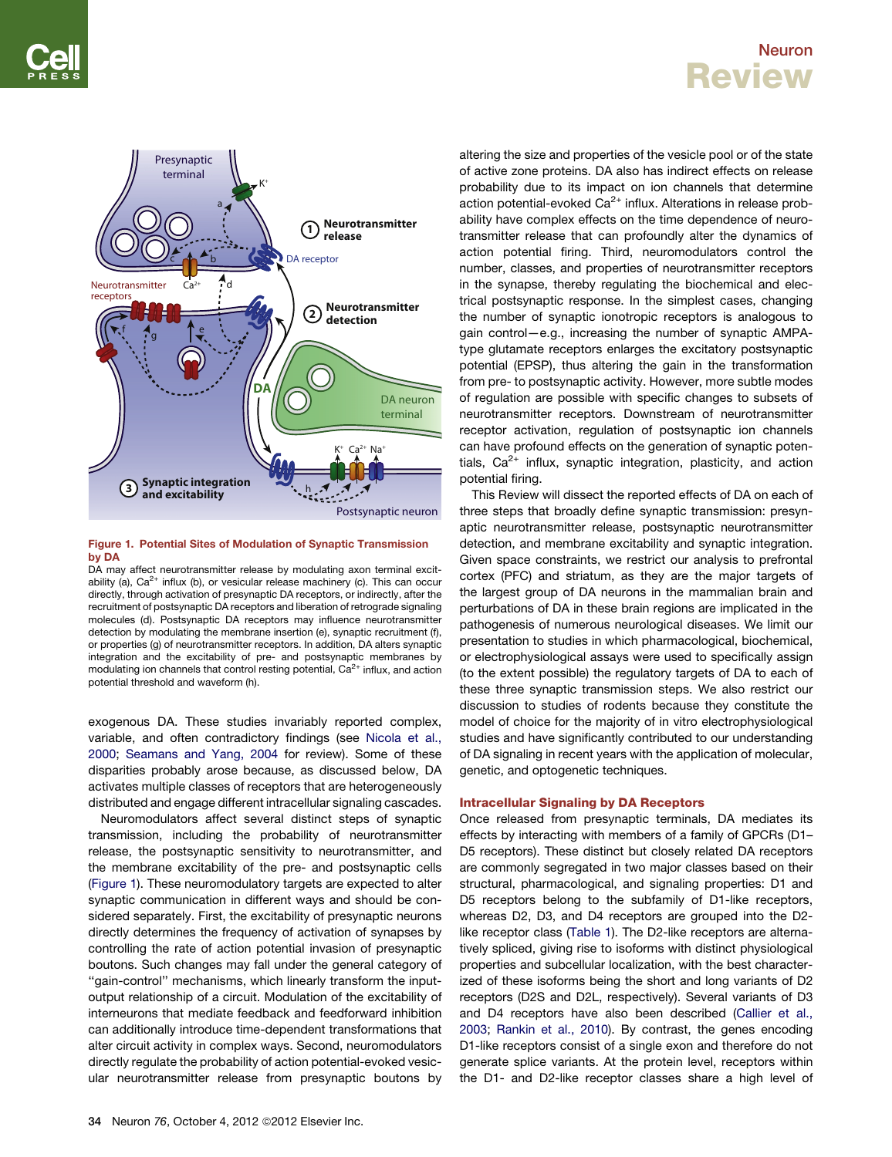

#### Figure 1. Potential Sites of Modulation of Synaptic Transmission by DA

DA may affect neurotransmitter release by modulating axon terminal excitability (a),  $Ca^{2+}$  influx (b), or vesicular release machinery (c). This can occur directly, through activation of presynaptic DA receptors, or indirectly, after the recruitment of postsynaptic DA receptors and liberation of retrograde signaling molecules (d). Postsynaptic DA receptors may influence neurotransmitter detection by modulating the membrane insertion (e), synaptic recruitment (f), or properties (g) of neurotransmitter receptors. In addition, DA alters synaptic integration and the excitability of pre- and postsynaptic membranes by modulating ion channels that control resting potential,  $Ca<sup>2+</sup>$  influx, and action potential threshold and waveform (h).

exogenous DA. These studies invariably reported complex, variable, and often contradictory findings (see [Nicola et al.,](#page-15-0) [2000](#page-15-0); [Seamans and Yang, 2004](#page-15-0) for review). Some of these disparities probably arose because, as discussed below, DA activates multiple classes of receptors that are heterogeneously distributed and engage different intracellular signaling cascades.

Neuromodulators affect several distinct steps of synaptic transmission, including the probability of neurotransmitter release, the postsynaptic sensitivity to neurotransmitter, and the membrane excitability of the pre- and postsynaptic cells (Figure 1). These neuromodulatory targets are expected to alter synaptic communication in different ways and should be considered separately. First, the excitability of presynaptic neurons directly determines the frequency of activation of synapses by controlling the rate of action potential invasion of presynaptic boutons. Such changes may fall under the general category of ''gain-control'' mechanisms, which linearly transform the inputoutput relationship of a circuit. Modulation of the excitability of interneurons that mediate feedback and feedforward inhibition can additionally introduce time-dependent transformations that alter circuit activity in complex ways. Second, neuromodulators directly regulate the probability of action potential-evoked vesicular neurotransmitter release from presynaptic boutons by

altering the size and properties of the vesicle pool or of the state of active zone proteins. DA also has indirect effects on release probability due to its impact on ion channels that determine action potential-evoked Ca<sup>2+</sup> influx. Alterations in release probability have complex effects on the time dependence of neurotransmitter release that can profoundly alter the dynamics of action potential firing. Third, neuromodulators control the number, classes, and properties of neurotransmitter receptors in the synapse, thereby regulating the biochemical and electrical postsynaptic response. In the simplest cases, changing the number of synaptic ionotropic receptors is analogous to gain control—e.g., increasing the number of synaptic AMPAtype glutamate receptors enlarges the excitatory postsynaptic potential (EPSP), thus altering the gain in the transformation from pre- to postsynaptic activity. However, more subtle modes of regulation are possible with specific changes to subsets of neurotransmitter receptors. Downstream of neurotransmitter receptor activation, regulation of postsynaptic ion channels can have profound effects on the generation of synaptic potentials,  $Ca^{2+}$  influx, synaptic integration, plasticity, and action potential firing.

This Review will dissect the reported effects of DA on each of three steps that broadly define synaptic transmission: presynaptic neurotransmitter release, postsynaptic neurotransmitter detection, and membrane excitability and synaptic integration. Given space constraints, we restrict our analysis to prefrontal cortex (PFC) and striatum, as they are the major targets of the largest group of DA neurons in the mammalian brain and perturbations of DA in these brain regions are implicated in the pathogenesis of numerous neurological diseases. We limit our presentation to studies in which pharmacological, biochemical, or electrophysiological assays were used to specifically assign (to the extent possible) the regulatory targets of DA to each of these three synaptic transmission steps. We also restrict our discussion to studies of rodents because they constitute the model of choice for the majority of in vitro electrophysiological studies and have significantly contributed to our understanding of DA signaling in recent years with the application of molecular, genetic, and optogenetic techniques.

#### Intracellular Signaling by DA Receptors

Once released from presynaptic terminals, DA mediates its effects by interacting with members of a family of GPCRs (D1– D5 receptors). These distinct but closely related DA receptors are commonly segregated in two major classes based on their structural, pharmacological, and signaling properties: D1 and D5 receptors belong to the subfamily of D1-like receptors, whereas D2, D3, and D4 receptors are grouped into the D2 like receptor class [\(Table 1\)](#page-2-0). The D2-like receptors are alternatively spliced, giving rise to isoforms with distinct physiological properties and subcellular localization, with the best characterized of these isoforms being the short and long variants of D2 receptors (D2S and D2L, respectively). Several variants of D3 and D4 receptors have also been described [\(Callier et al.,](#page-12-0) [2003;](#page-12-0) [Rankin et al., 2010](#page-15-0)). By contrast, the genes encoding D1-like receptors consist of a single exon and therefore do not generate splice variants. At the protein level, receptors within the D1- and D2-like receptor classes share a high level of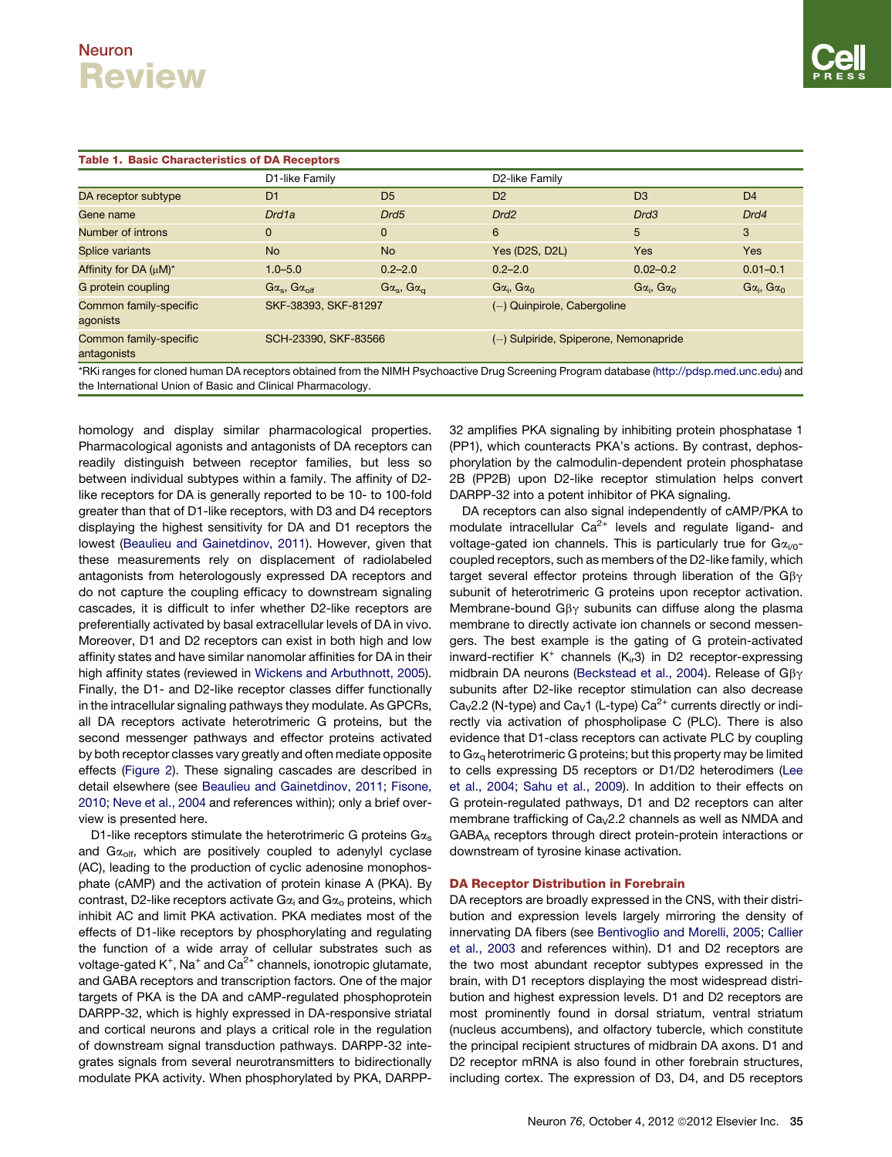<span id="page-2-0"></span>

| <b>Table 1. Basic Characteristics of DA Receptors</b>                                                                                       |                   |                      |                  |                                       |                 |  |  |  |  |
|---------------------------------------------------------------------------------------------------------------------------------------------|-------------------|----------------------|------------------|---------------------------------------|-----------------|--|--|--|--|
|                                                                                                                                             | D1-like Family    |                      | D2-like Family   |                                       |                 |  |  |  |  |
| DA receptor subtype                                                                                                                         | D <sub>1</sub>    | D <sub>5</sub>       | D <sub>2</sub>   | D3                                    | D <sub>4</sub>  |  |  |  |  |
| Gene name                                                                                                                                   | Drd <sub>1a</sub> | Drd <sub>5</sub>     | Drd <sub>2</sub> | Drd <sub>3</sub>                      | Drd4            |  |  |  |  |
| Number of introns                                                                                                                           | $\Omega$          | $\Omega$             | 6                | 5                                     | 3               |  |  |  |  |
| <b>Splice variants</b>                                                                                                                      | <b>No</b>         | No.                  | Yes (D2S, D2L)   | Yes                                   | Yes             |  |  |  |  |
| Affinity for DA $(\mu M)^*$                                                                                                                 | $1.0 - 5.0$       | $0.2 - 2.0$          | $0.2 - 2.0$      | $0.02 - 0.2$                          | $0.01 - 0.1$    |  |  |  |  |
| G protein coupling                                                                                                                          | $Gas$ , $Gaolf$   | $Gas$ , $Gaa$        | $Ga_i$ , $Ga_0$  | $Ga_i$ , $Ga_i$                       | $Ga_i$ , $Ga_0$ |  |  |  |  |
| Common family-specific<br>agonists                                                                                                          |                   | SKF-38393, SKF-81297 |                  | (-) Quinpirole, Cabergoline           |                 |  |  |  |  |
| Common family-specific<br>antagonists                                                                                                       |                   | SCH-23390, SKF-83566 |                  | (-) Sulpiride, Spiperone, Nemonapride |                 |  |  |  |  |
| *RKi ranges for cloned human DA receptors obtained from the NIMH Psychoactive Drug Screening Program database (http://pdsp.med.unc.edu) and |                   |                      |                  |                                       |                 |  |  |  |  |

the International Union of Basic and Clinical Pharmacology.

homology and display similar pharmacological properties. Pharmacological agonists and antagonists of DA receptors can readily distinguish between receptor families, but less so between individual subtypes within a family. The affinity of D2 like receptors for DA is generally reported to be 10- to 100-fold greater than that of D1-like receptors, with D3 and D4 receptors displaying the highest sensitivity for DA and D1 receptors the lowest [\(Beaulieu and Gainetdinov, 2011\)](#page-12-0). However, given that these measurements rely on displacement of radiolabeled antagonists from heterologously expressed DA receptors and do not capture the coupling efficacy to downstream signaling cascades, it is difficult to infer whether D2-like receptors are preferentially activated by basal extracellular levels of DA in vivo. Moreover, D1 and D2 receptors can exist in both high and low affinity states and have similar nanomolar affinities for DA in their high affinity states (reviewed in [Wickens and Arbuthnott, 2005\)](#page-16-0). Finally, the D1- and D2-like receptor classes differ functionally in the intracellular signaling pathways they modulate. As GPCRs, all DA receptors activate heterotrimeric G proteins, but the second messenger pathways and effector proteins activated by both receptor classes vary greatly and often mediate opposite effects ([Figure 2\)](#page-3-0). These signaling cascades are described in detail elsewhere (see [Beaulieu and Gainetdinov, 2011](#page-12-0); [Fisone,](#page-13-0) [2010;](#page-13-0) [Neve et al., 2004](#page-15-0) and references within); only a brief overview is presented here.

D1-like receptors stimulate the heterotrimeric G proteins  $Ga<sub>s</sub>$ and  $Ga_{\text{o}1f}$ , which are positively coupled to adenylyl cyclase (AC), leading to the production of cyclic adenosine monophosphate (cAMP) and the activation of protein kinase A (PKA). By contrast, D2-like receptors activate  $Ga<sub>i</sub>$  and  $Ga<sub>o</sub>$  proteins, which inhibit AC and limit PKA activation. PKA mediates most of the effects of D1-like receptors by phosphorylating and regulating the function of a wide array of cellular substrates such as voltage-gated K<sup>+</sup>, Na<sup>+</sup> and Ca<sup>2+</sup> channels, ionotropic glutamate, and GABA receptors and transcription factors. One of the major targets of PKA is the DA and cAMP-regulated phosphoprotein DARPP-32, which is highly expressed in DA-responsive striatal and cortical neurons and plays a critical role in the regulation of downstream signal transduction pathways. DARPP-32 integrates signals from several neurotransmitters to bidirectionally modulate PKA activity. When phosphorylated by PKA, DARPP-

32 amplifies PKA signaling by inhibiting protein phosphatase 1 (PP1), which counteracts PKA's actions. By contrast, dephosphorylation by the calmodulin-dependent protein phosphatase 2B (PP2B) upon D2-like receptor stimulation helps convert DARPP-32 into a potent inhibitor of PKA signaling.

DA receptors can also signal independently of cAMP/PKA to modulate intracellular  $Ca^{2+}$  levels and regulate ligand- and voltage-gated ion channels. This is particularly true for  $Ga<sub>i/0</sub>$ coupled receptors, such as members of the D2-like family, which target several effector proteins through liberation of the  $G\beta\gamma$ subunit of heterotrimeric G proteins upon receptor activation. Membrane-bound G $\beta\gamma$  subunits can diffuse along the plasma membrane to directly activate ion channels or second messengers. The best example is the gating of G protein-activated inward-rectifier  $K^+$  channels ( $K_{ir}$ 3) in D2 receptor-expressing midbrain DA neurons [\(Beckstead et al., 2004](#page-12-0)). Release of  $G\beta\gamma$ subunits after D2-like receptor stimulation can also decrease Ca<sub>v</sub>2.2 (N-type) and Ca<sub>v</sub>1 (L-type) Ca<sup>2+</sup> currents directly or indirectly via activation of phospholipase C (PLC). There is also evidence that D1-class receptors can activate PLC by coupling to  $Ga_{\alpha}$  heterotrimeric G proteins; but this property may be limited to cells expressing D5 receptors or D1/D2 heterodimers [\(Lee](#page-14-0) [et al., 2004](#page-14-0); [Sahu et al., 2009](#page-15-0)). In addition to their effects on G protein-regulated pathways, D1 and D2 receptors can alter membrane trafficking of  $Ca<sub>v</sub>2.2$  channels as well as NMDA and GABAA receptors through direct protein-protein interactions or downstream of tyrosine kinase activation.

#### DA Receptor Distribution in Forebrain

DA receptors are broadly expressed in the CNS, with their distribution and expression levels largely mirroring the density of innervating DA fibers (see [Bentivoglio and Morelli, 2005;](#page-12-0) [Callier](#page-12-0) [et al., 2003](#page-12-0) and references within). D1 and D2 receptors are the two most abundant receptor subtypes expressed in the brain, with D1 receptors displaying the most widespread distribution and highest expression levels. D1 and D2 receptors are most prominently found in dorsal striatum, ventral striatum (nucleus accumbens), and olfactory tubercle, which constitute the principal recipient structures of midbrain DA axons. D1 and D2 receptor mRNA is also found in other forebrain structures, including cortex. The expression of D3, D4, and D5 receptors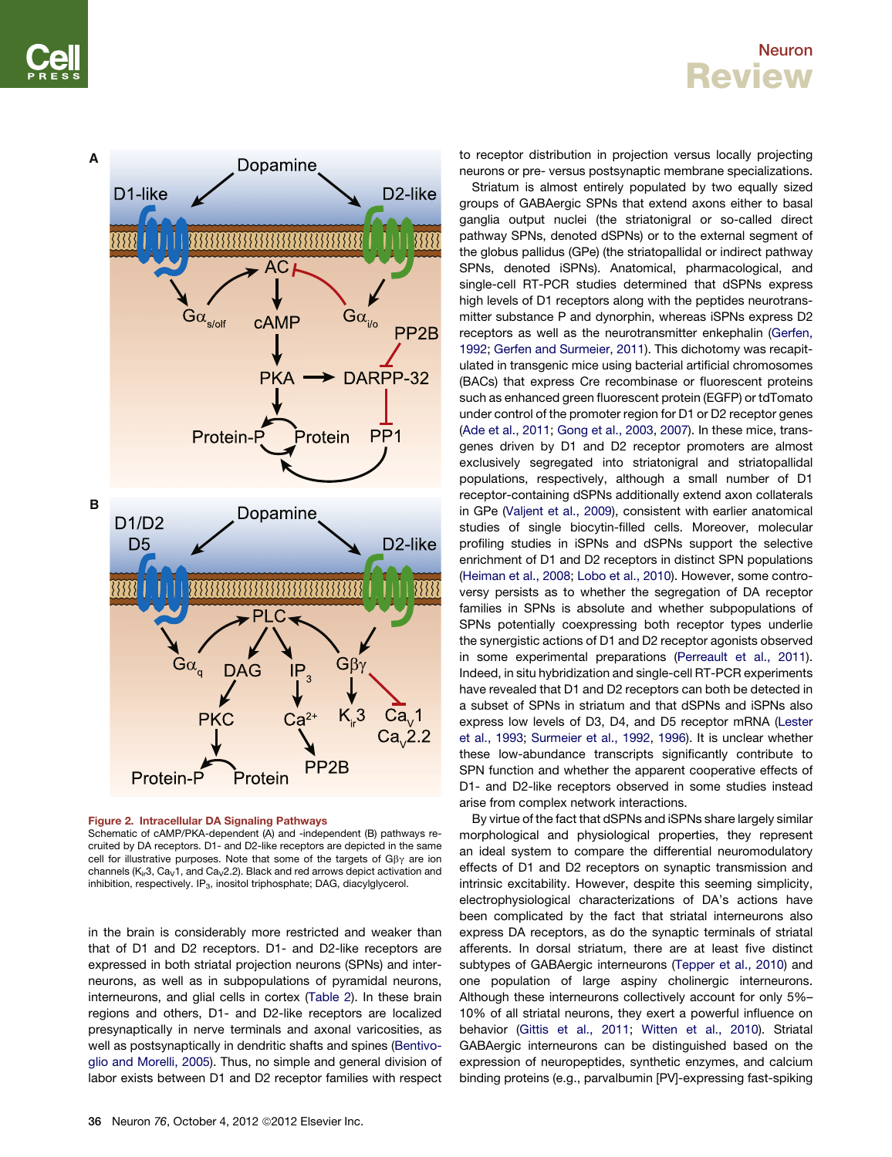<span id="page-3-0"></span>

#### Figure 2. Intracellular DA Signaling Pathways

Schematic of cAMP/PKA-dependent (A) and -independent (B) pathways recruited by DA receptors. D1- and D2-like receptors are depicted in the same cell for illustrative purposes. Note that some of the targets of  $G\beta\gamma$  are ion channels (K<sub>ir</sub>3, Ca<sub>V</sub>1, and Ca<sub>V</sub>2.2). Black and red arrows depict activation and inhibition, respectively. IP<sub>3</sub>, inositol triphosphate; DAG, diacylglycerol.

in the brain is considerably more restricted and weaker than that of D1 and D2 receptors. D1- and D2-like receptors are expressed in both striatal projection neurons (SPNs) and interneurons, as well as in subpopulations of pyramidal neurons, interneurons, and glial cells in cortex ([Table 2\)](#page-4-0). In these brain regions and others, D1- and D2-like receptors are localized presynaptically in nerve terminals and axonal varicosities, as well as postsynaptically in dendritic shafts and spines ([Bentivo](#page-12-0)[glio and Morelli, 2005\)](#page-12-0). Thus, no simple and general division of labor exists between D1 and D2 receptor families with respect

### Neuron Review

to receptor distribution in projection versus locally projecting neurons or pre- versus postsynaptic membrane specializations.

Striatum is almost entirely populated by two equally sized groups of GABAergic SPNs that extend axons either to basal ganglia output nuclei (the striatonigral or so-called direct pathway SPNs, denoted dSPNs) or to the external segment of the globus pallidus (GPe) (the striatopallidal or indirect pathway SPNs, denoted iSPNs). Anatomical, pharmacological, and single-cell RT-PCR studies determined that dSPNs express high levels of D1 receptors along with the peptides neurotransmitter substance P and dynorphin, whereas iSPNs express D2 receptors as well as the neurotransmitter enkephalin ([Gerfen,](#page-13-0) [1992;](#page-13-0) [Gerfen and Surmeier, 2011](#page-13-0)). This dichotomy was recapitulated in transgenic mice using bacterial artificial chromosomes (BACs) that express Cre recombinase or fluorescent proteins such as enhanced green fluorescent protein (EGFP) or tdTomato under control of the promoter region for D1 or D2 receptor genes [\(Ade et al., 2011](#page-12-0); [Gong et al., 2003](#page-13-0), [2007](#page-13-0)). In these mice, transgenes driven by D1 and D2 receptor promoters are almost exclusively segregated into striatonigral and striatopallidal populations, respectively, although a small number of D1 receptor-containing dSPNs additionally extend axon collaterals in GPe [\(Valjent et al., 2009\)](#page-16-0), consistent with earlier anatomical studies of single biocytin-filled cells. Moreover, molecular profiling studies in iSPNs and dSPNs support the selective enrichment of D1 and D2 receptors in distinct SPN populations [\(Heiman et al., 2008;](#page-14-0) [Lobo et al., 2010\)](#page-15-0). However, some controversy persists as to whether the segregation of DA receptor families in SPNs is absolute and whether subpopulations of SPNs potentially coexpressing both receptor types underlie the synergistic actions of D1 and D2 receptor agonists observed in some experimental preparations [\(Perreault et al., 2011](#page-15-0)). Indeed, in situ hybridization and single-cell RT-PCR experiments have revealed that D1 and D2 receptors can both be detected in a subset of SPNs in striatum and that dSPNs and iSPNs also express low levels of D3, D4, and D5 receptor mRNA [\(Lester](#page-14-0) [et al., 1993](#page-14-0); [Surmeier et al., 1992,](#page-16-0) [1996\)](#page-16-0). It is unclear whether these low-abundance transcripts significantly contribute to SPN function and whether the apparent cooperative effects of D1- and D2-like receptors observed in some studies instead arise from complex network interactions.

By virtue of the fact that dSPNs and iSPNs share largely similar morphological and physiological properties, they represent an ideal system to compare the differential neuromodulatory effects of D1 and D2 receptors on synaptic transmission and intrinsic excitability. However, despite this seeming simplicity, electrophysiological characterizations of DA's actions have been complicated by the fact that striatal interneurons also express DA receptors, as do the synaptic terminals of striatal afferents. In dorsal striatum, there are at least five distinct subtypes of GABAergic interneurons ([Tepper et al., 2010](#page-16-0)) and one population of large aspiny cholinergic interneurons. Although these interneurons collectively account for only 5%– 10% of all striatal neurons, they exert a powerful influence on behavior ([Gittis et al., 2011;](#page-13-0) [Witten et al., 2010\)](#page-16-0). Striatal GABAergic interneurons can be distinguished based on the expression of neuropeptides, synthetic enzymes, and calcium binding proteins (e.g., parvalbumin [PV]-expressing fast-spiking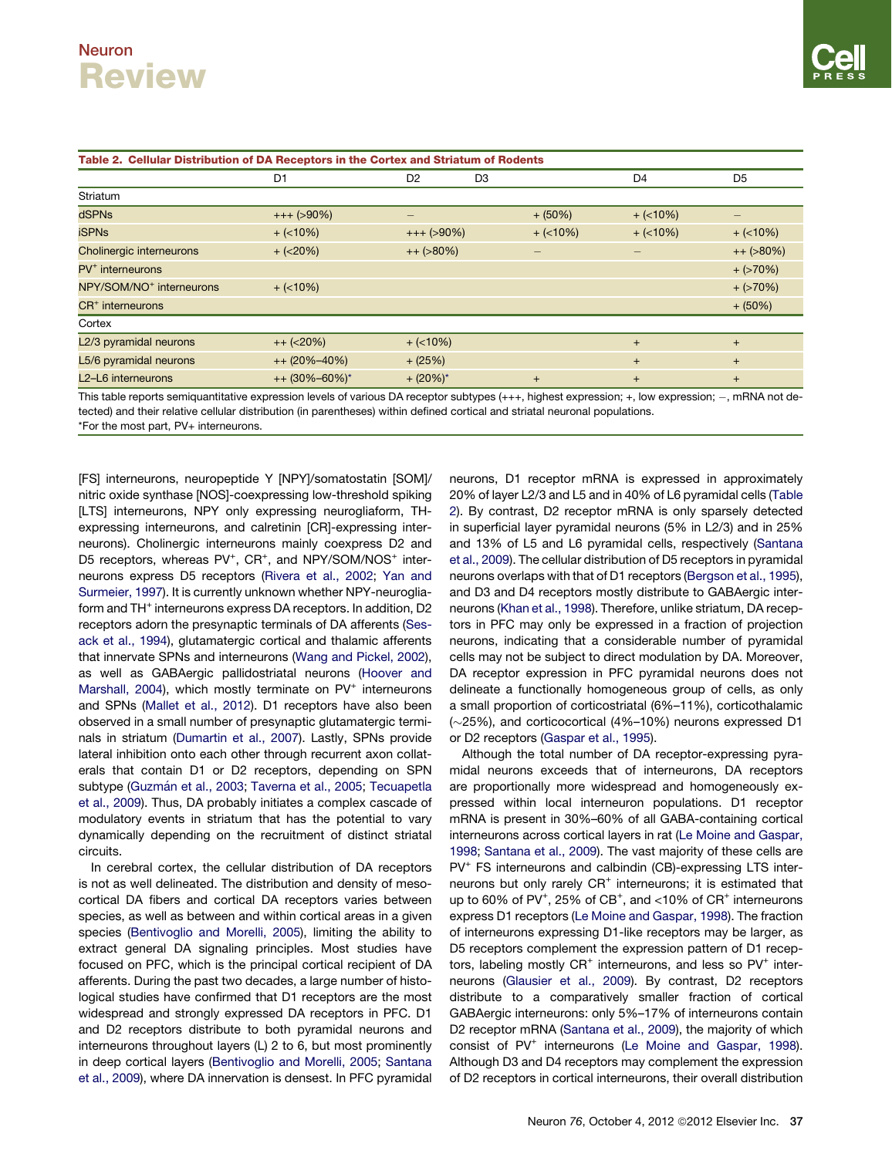<span id="page-4-0"></span>

|                                             | D <sub>1</sub>     | D <sub>2</sub>   | D <sub>3</sub> | D <sub>4</sub> | D <sub>5</sub> |
|---------------------------------------------|--------------------|------------------|----------------|----------------|----------------|
| Striatum                                    |                    |                  |                |                |                |
| <b>dSPNs</b>                                | $+++$ (>90%)       |                  | $+ (50\%)$     | $+$ ( $<$ 10%) |                |
| <b>iSPNs</b>                                | $+$ (<10%)         | $+++$ (>90%)     | $+$ ( $<$ 10%) | $+$ ( $<$ 10%) | $+$ ( $<$ 10%) |
| Cholinergic interneurons                    | $+$ ( $<$ 20%)     | $++$ ( $>80\%$ ) |                |                | $++ ( >80\%)$  |
| $PV^+$ interneurons                         |                    |                  |                |                | $+$ (>70%)     |
| NPY/SOM/NO <sup>+</sup> interneurons        | $+$ ( $<$ 10%)     |                  |                |                | $+$ (>70%)     |
| CR <sup>+</sup> interneurons                |                    |                  |                |                | $+ (50\%)$     |
| Cortex                                      |                    |                  |                |                |                |
| L2/3 pyramidal neurons                      | $++$ (<20%)        | $+$ ( $<$ 10%)   |                | $+$            | $+$            |
| L5/6 pyramidal neurons                      | $++ (20\% - 40\%)$ | $+ (25%)$        |                | $+$            | $+$            |
| L <sub>2</sub> -L <sub>6</sub> interneurons | $++$ (30%-60%)*    | $+ (20\%)^*$     | $+$            | $+$            | $+$            |

This table reports semiquantitative expression levels of various DA receptor subtypes (+++, highest expression; +, low expression; -, mRNA not de tected) and their relative cellular distribution (in parentheses) within defined cortical and striatal neuronal populations. \*For the most part, PV+ interneurons.

[FS] interneurons, neuropeptide Y [NPY]/somatostatin [SOM]/ nitric oxide synthase [NOS]-coexpressing low-threshold spiking [LTS] interneurons, NPY only expressing neurogliaform, THexpressing interneurons, and calretinin [CR]-expressing interneurons). Cholinergic interneurons mainly coexpress D2 and D5 receptors, whereas PV<sup>+</sup>, CR<sup>+</sup>, and NPY/SOM/NOS<sup>+</sup> interneurons express D5 receptors [\(Rivera et al., 2002;](#page-15-0) [Yan and](#page-16-0) [Surmeier, 1997\)](#page-16-0). It is currently unknown whether NPY-neurogliaform and TH<sup>+</sup> interneurons express DA receptors. In addition, D2 receptors adorn the presynaptic terminals of DA afferents ([Ses](#page-15-0)[ack et al., 1994](#page-15-0)), glutamatergic cortical and thalamic afferents that innervate SPNs and interneurons ([Wang and Pickel, 2002\)](#page-16-0), as well as GABAergic pallidostriatal neurons ([Hoover and](#page-14-0) [Marshall, 2004](#page-14-0)), which mostly terminate on PV<sup>+</sup> interneurons and SPNs [\(Mallet et al., 2012\)](#page-15-0). D1 receptors have also been observed in a small number of presynaptic glutamatergic terminals in striatum [\(Dumartin et al., 2007](#page-13-0)). Lastly, SPNs provide lateral inhibition onto each other through recurrent axon collaterals that contain D1 or D2 receptors, depending on SPN subtype (Guzmá[n et al., 2003;](#page-14-0) [Taverna et al., 2005](#page-16-0); [Tecuapetla](#page-16-0) [et al., 2009](#page-16-0)). Thus, DA probably initiates a complex cascade of modulatory events in striatum that has the potential to vary dynamically depending on the recruitment of distinct striatal circuits.

In cerebral cortex, the cellular distribution of DA receptors is not as well delineated. The distribution and density of mesocortical DA fibers and cortical DA receptors varies between species, as well as between and within cortical areas in a given species [\(Bentivoglio and Morelli, 2005](#page-12-0)), limiting the ability to extract general DA signaling principles. Most studies have focused on PFC, which is the principal cortical recipient of DA afferents. During the past two decades, a large number of histological studies have confirmed that D1 receptors are the most widespread and strongly expressed DA receptors in PFC. D1 and D2 receptors distribute to both pyramidal neurons and interneurons throughout layers (L) 2 to 6, but most prominently in deep cortical layers ([Bentivoglio and Morelli, 2005;](#page-12-0) [Santana](#page-15-0) [et al., 2009\)](#page-15-0), where DA innervation is densest. In PFC pyramidal

neurons, D1 receptor mRNA is expressed in approximately 20% of layer L2/3 and L5 and in 40% of L6 pyramidal cells (Table 2). By contrast, D2 receptor mRNA is only sparsely detected in superficial layer pyramidal neurons (5% in L2/3) and in 25% and 13% of L5 and L6 pyramidal cells, respectively [\(Santana](#page-15-0) [et al., 2009\)](#page-15-0). The cellular distribution of D5 receptors in pyramidal neurons overlaps with that of D1 receptors ([Bergson et al., 1995\)](#page-12-0), and D3 and D4 receptors mostly distribute to GABAergic interneurons ([Khan et al., 1998](#page-14-0)). Therefore, unlike striatum, DA receptors in PFC may only be expressed in a fraction of projection neurons, indicating that a considerable number of pyramidal cells may not be subject to direct modulation by DA. Moreover, DA receptor expression in PFC pyramidal neurons does not delineate a functionally homogeneous group of cells, as only a small proportion of corticostriatal (6%–11%), corticothalamic (25%), and corticocortical (4%–10%) neurons expressed D1 or D2 receptors ([Gaspar et al., 1995\)](#page-13-0).

Although the total number of DA receptor-expressing pyramidal neurons exceeds that of interneurons, DA receptors are proportionally more widespread and homogeneously expressed within local interneuron populations. D1 receptor mRNA is present in 30%–60% of all GABA-containing cortical interneurons across cortical layers in rat [\(Le Moine and Gaspar,](#page-14-0) [1998;](#page-14-0) [Santana et al., 2009\)](#page-15-0). The vast majority of these cells are PV<sup>+</sup> FS interneurons and calbindin (CB)-expressing LTS interneurons but only rarely CR<sup>+</sup> interneurons; it is estimated that up to 60% of PV<sup>+</sup>, 25% of CB<sup>+</sup>, and <10% of CR<sup>+</sup> interneurons express D1 receptors ([Le Moine and Gaspar, 1998](#page-14-0)). The fraction of interneurons expressing D1-like receptors may be larger, as D5 receptors complement the expression pattern of D1 receptors, labeling mostly  $CR^+$  interneurons, and less so  $PV^+$  interneurons [\(Glausier et al., 2009\)](#page-13-0). By contrast, D2 receptors distribute to a comparatively smaller fraction of cortical GABAergic interneurons: only 5%–17% of interneurons contain D2 receptor mRNA [\(Santana et al., 2009](#page-15-0)), the majority of which consist of PV<sup>+</sup> interneurons ([Le Moine and Gaspar, 1998\)](#page-14-0). Although D3 and D4 receptors may complement the expression of D2 receptors in cortical interneurons, their overall distribution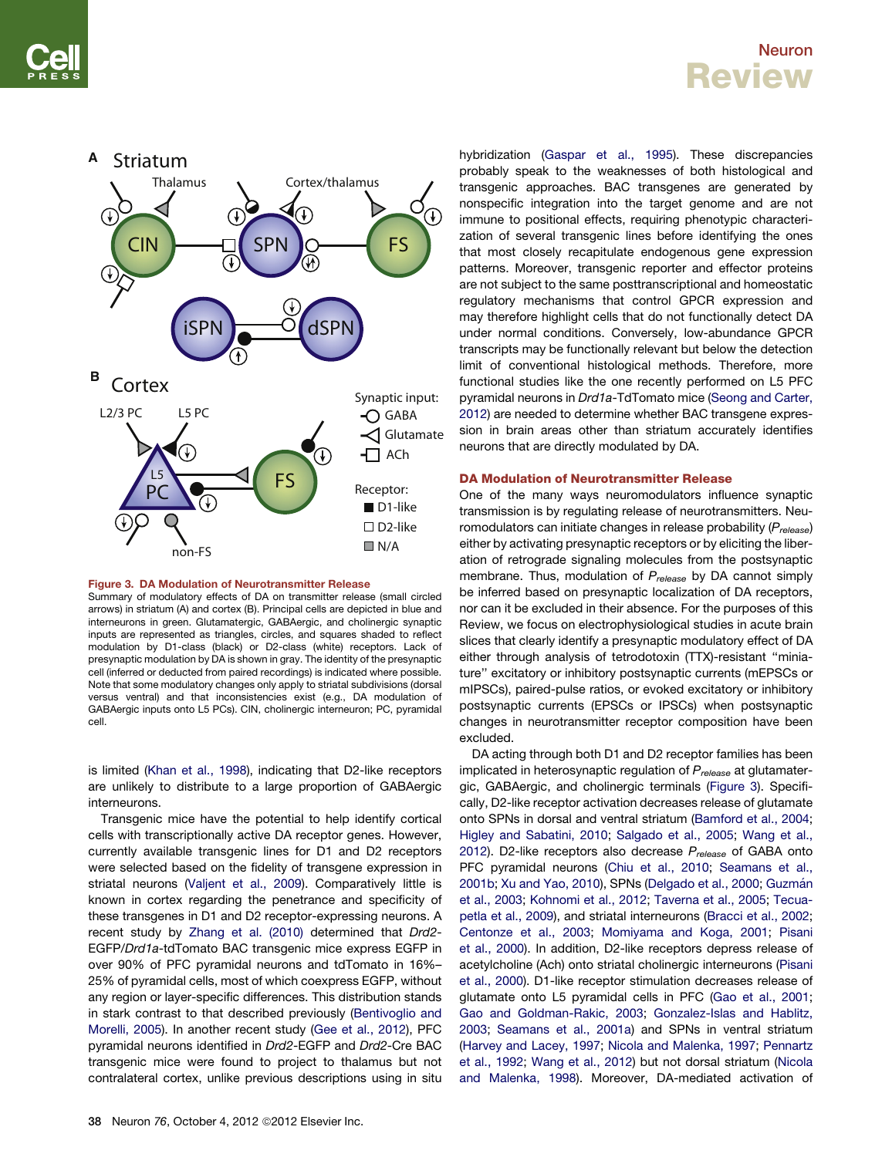

### Figure 3. DA Modulation of Neurotransmitter Release

non-FS

Summary of modulatory effects of DA on transmitter release (small circled arrows) in striatum (A) and cortex (B). Principal cells are depicted in blue and interneurons in green. Glutamatergic, GABAergic, and cholinergic synaptic inputs are represented as triangles, circles, and squares shaded to reflect modulation by D1-class (black) or D2-class (white) receptors. Lack of presynaptic modulation by DA is shown in gray. The identity of the presynaptic cell (inferred or deducted from paired recordings) is indicated where possible. Note that some modulatory changes only apply to striatal subdivisions (dorsal versus ventral) and that inconsistencies exist (e.g., DA modulation of GABAergic inputs onto L5 PCs). CIN, cholinergic interneuron; PC, pyramidal cell.

■N/A

is limited ([Khan et al., 1998\)](#page-14-0), indicating that D2-like receptors are unlikely to distribute to a large proportion of GABAergic interneurons.

Transgenic mice have the potential to help identify cortical cells with transcriptionally active DA receptor genes. However, currently available transgenic lines for D1 and D2 receptors were selected based on the fidelity of transgene expression in striatal neurons [\(Valjent et al., 2009\)](#page-16-0). Comparatively little is known in cortex regarding the penetrance and specificity of these transgenes in D1 and D2 receptor-expressing neurons. A recent study by [Zhang et al. \(2010\)](#page-17-0) determined that *Drd2*- EGFP/*Drd1a*-tdTomato BAC transgenic mice express EGFP in over 90% of PFC pyramidal neurons and tdTomato in 16%– 25% of pyramidal cells, most of which coexpress EGFP, without any region or layer-specific differences. This distribution stands in stark contrast to that described previously [\(Bentivoglio and](#page-12-0) [Morelli, 2005](#page-12-0)). In another recent study [\(Gee et al., 2012\)](#page-13-0), PFC pyramidal neurons identified in *Drd2*-EGFP and *Drd2*-Cre BAC transgenic mice were found to project to thalamus but not contralateral cortex, unlike previous descriptions using in situ

hybridization ([Gaspar et al., 1995](#page-13-0)). These discrepancies probably speak to the weaknesses of both histological and transgenic approaches. BAC transgenes are generated by nonspecific integration into the target genome and are not immune to positional effects, requiring phenotypic characterization of several transgenic lines before identifying the ones that most closely recapitulate endogenous gene expression patterns. Moreover, transgenic reporter and effector proteins are not subject to the same posttranscriptional and homeostatic regulatory mechanisms that control GPCR expression and may therefore highlight cells that do not functionally detect DA under normal conditions. Conversely, low-abundance GPCR transcripts may be functionally relevant but below the detection limit of conventional histological methods. Therefore, more functional studies like the one recently performed on L5 PFC pyramidal neurons in *Drd1a*-TdTomato mice [\(Seong and Carter,](#page-15-0) [2012\)](#page-15-0) are needed to determine whether BAC transgene expression in brain areas other than striatum accurately identifies neurons that are directly modulated by DA.

#### DA Modulation of Neurotransmitter Release

One of the many ways neuromodulators influence synaptic transmission is by regulating release of neurotransmitters. Neuromodulators can initiate changes in release probability (*Prelease*) either by activating presynaptic receptors or by eliciting the liberation of retrograde signaling molecules from the postsynaptic membrane. Thus, modulation of *Prelease* by DA cannot simply be inferred based on presynaptic localization of DA receptors, nor can it be excluded in their absence. For the purposes of this Review, we focus on electrophysiological studies in acute brain slices that clearly identify a presynaptic modulatory effect of DA either through analysis of tetrodotoxin (TTX)-resistant ''miniature'' excitatory or inhibitory postsynaptic currents (mEPSCs or mIPSCs), paired-pulse ratios, or evoked excitatory or inhibitory postsynaptic currents (EPSCs or IPSCs) when postsynaptic changes in neurotransmitter receptor composition have been excluded.

DA acting through both D1 and D2 receptor families has been implicated in heterosynaptic regulation of *Prelease* at glutamatergic, GABAergic, and cholinergic terminals (Figure 3). Specifically, D2-like receptor activation decreases release of glutamate onto SPNs in dorsal and ventral striatum ([Bamford et al., 2004;](#page-12-0) [Higley and Sabatini, 2010](#page-14-0); [Salgado et al., 2005](#page-15-0); [Wang et al.,](#page-16-0) [2012\)](#page-16-0). D2-like receptors also decrease *Prelease* of GABA onto PFC pyramidal neurons [\(Chiu et al., 2010;](#page-12-0) [Seamans et al.,](#page-15-0) [2001b;](#page-15-0) [Xu and Yao, 2010\)](#page-16-0), SPNs [\(Delgado et al., 2000;](#page-13-0) Guzmán [et al., 2003](#page-14-0); [Kohnomi et al., 2012;](#page-14-0) [Taverna et al., 2005](#page-16-0); [Tecua](#page-16-0)[petla et al., 2009\)](#page-16-0), and striatal interneurons [\(Bracci et al., 2002;](#page-12-0) [Centonze et al., 2003;](#page-12-0) [Momiyama and Koga, 2001;](#page-15-0) [Pisani](#page-15-0) [et al., 2000\)](#page-15-0). In addition, D2-like receptors depress release of acetylcholine (Ach) onto striatal cholinergic interneurons [\(Pisani](#page-15-0) [et al., 2000\)](#page-15-0). D1-like receptor stimulation decreases release of glutamate onto L5 pyramidal cells in PFC [\(Gao et al., 2001;](#page-13-0) [Gao and Goldman-Rakic, 2003](#page-13-0); [Gonzalez-Islas and Hablitz,](#page-13-0) [2003;](#page-13-0) [Seamans et al., 2001a\)](#page-15-0) and SPNs in ventral striatum [\(Harvey and Lacey, 1997](#page-14-0); [Nicola and Malenka, 1997](#page-15-0); [Pennartz](#page-15-0) [et al., 1992](#page-15-0); [Wang et al., 2012\)](#page-16-0) but not dorsal striatum [\(Nicola](#page-15-0) [and Malenka, 1998\)](#page-15-0). Moreover, DA-mediated activation of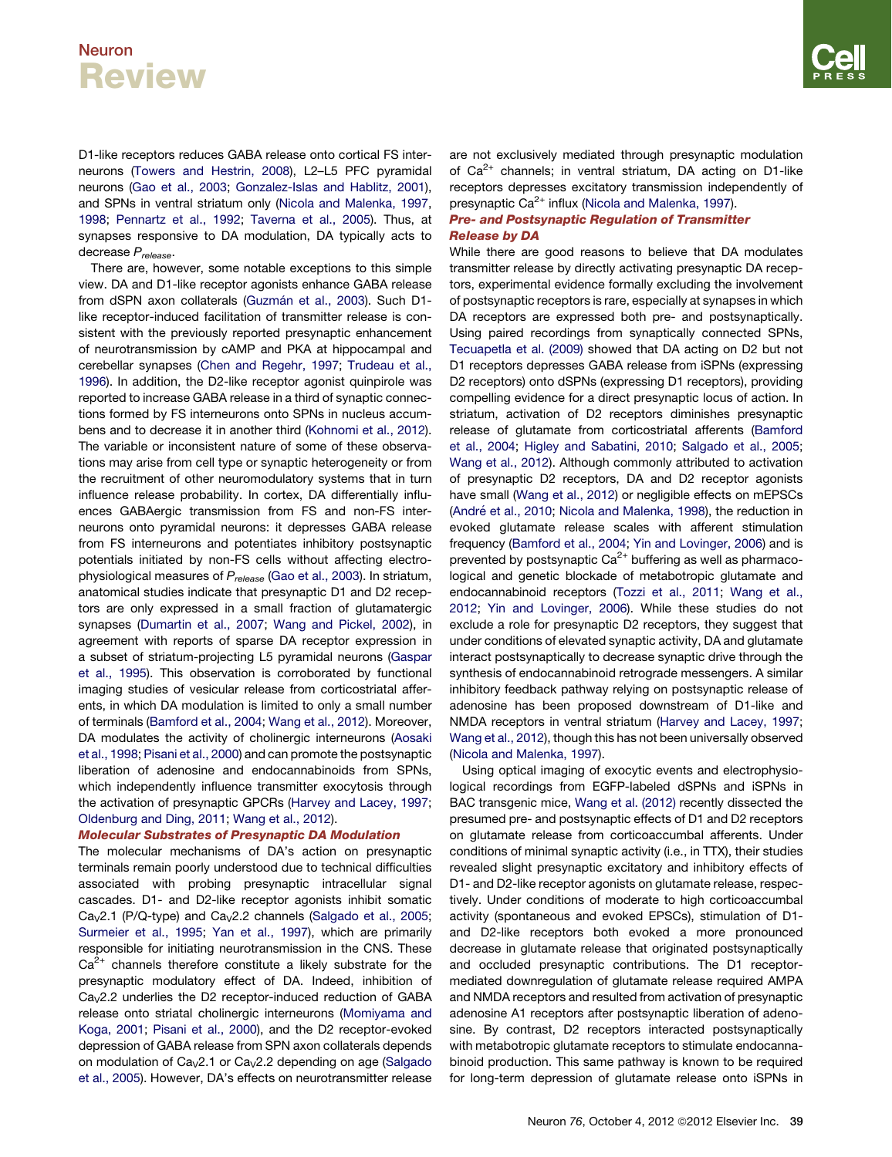D1-like receptors reduces GABA release onto cortical FS interneurons ([Towers and Hestrin, 2008\)](#page-16-0), L2–L5 PFC pyramidal neurons ([Gao et al., 2003;](#page-13-0) [Gonzalez-Islas and Hablitz, 2001\)](#page-13-0), and SPNs in ventral striatum only ([Nicola and Malenka, 1997,](#page-15-0) [1998;](#page-15-0) [Pennartz et al., 1992;](#page-15-0) [Taverna et al., 2005\)](#page-16-0). Thus, at synapses responsive to DA modulation, DA typically acts to decrease *Prelease*.

There are, however, some notable exceptions to this simple view. DA and D1-like receptor agonists enhance GABA release from dSPN axon collaterals (Guzmá[n et al., 2003\)](#page-14-0). Such D1like receptor-induced facilitation of transmitter release is consistent with the previously reported presynaptic enhancement of neurotransmission by cAMP and PKA at hippocampal and cerebellar synapses ([Chen and Regehr, 1997](#page-12-0); [Trudeau et al.,](#page-16-0) [1996\)](#page-16-0). In addition, the D2-like receptor agonist quinpirole was reported to increase GABA release in a third of synaptic connections formed by FS interneurons onto SPNs in nucleus accumbens and to decrease it in another third ([Kohnomi et al., 2012\)](#page-14-0). The variable or inconsistent nature of some of these observations may arise from cell type or synaptic heterogeneity or from the recruitment of other neuromodulatory systems that in turn influence release probability. In cortex, DA differentially influences GABAergic transmission from FS and non-FS interneurons onto pyramidal neurons: it depresses GABA release from FS interneurons and potentiates inhibitory postsynaptic potentials initiated by non-FS cells without affecting electrophysiological measures of *Prelease* [\(Gao et al., 2003](#page-13-0)). In striatum, anatomical studies indicate that presynaptic D1 and D2 receptors are only expressed in a small fraction of glutamatergic synapses [\(Dumartin et al., 2007;](#page-13-0) [Wang and Pickel, 2002](#page-16-0)), in agreement with reports of sparse DA receptor expression in a subset of striatum-projecting L5 pyramidal neurons [\(Gaspar](#page-13-0) [et al., 1995](#page-13-0)). This observation is corroborated by functional imaging studies of vesicular release from corticostriatal afferents, in which DA modulation is limited to only a small number of terminals [\(Bamford et al., 2004](#page-12-0); [Wang et al., 2012](#page-16-0)). Moreover, DA modulates the activity of cholinergic interneurons ([Aosaki](#page-12-0) [et al., 1998](#page-12-0); [Pisani et al., 2000\)](#page-15-0) and can promote the postsynaptic liberation of adenosine and endocannabinoids from SPNs, which independently influence transmitter exocytosis through the activation of presynaptic GPCRs ([Harvey and Lacey, 1997;](#page-14-0) [Oldenburg and Ding, 2011;](#page-15-0) [Wang et al., 2012\)](#page-16-0).

#### Molecular Substrates of Presynaptic DA Modulation

The molecular mechanisms of DA's action on presynaptic terminals remain poorly understood due to technical difficulties associated with probing presynaptic intracellular signal cascades. D1- and D2-like receptor agonists inhibit somatic  $Ca<sub>v</sub>2.1$  (P/Q-type) and  $Ca<sub>v</sub>2.2$  channels ([Salgado et al., 2005;](#page-15-0) [Surmeier et al., 1995](#page-16-0); [Yan et al., 1997](#page-16-0)), which are primarily responsible for initiating neurotransmission in the CNS. These  $Ca<sup>2+</sup>$  channels therefore constitute a likely substrate for the presynaptic modulatory effect of DA. Indeed, inhibition of  $Ca<sub>v</sub>2.2$  underlies the D2 receptor-induced reduction of GABA release onto striatal cholinergic interneurons [\(Momiyama and](#page-15-0) [Koga, 2001;](#page-15-0) [Pisani et al., 2000\)](#page-15-0), and the D2 receptor-evoked depression of GABA release from SPN axon collaterals depends on modulation of  $Ca<sub>V</sub>2.1$  or  $Ca<sub>V</sub>2.2$  depending on age ([Salgado](#page-15-0) [et al., 2005\)](#page-15-0). However, DA's effects on neurotransmitter release are not exclusively mediated through presynaptic modulation of  $Ca^{2+}$  channels; in ventral striatum, DA acting on D1-like receptors depresses excitatory transmission independently of presynaptic  $Ca^{2+}$  influx ([Nicola and Malenka, 1997](#page-15-0)).

### Pre- and Postsynaptic Regulation of Transmitter Release by DA

While there are good reasons to believe that DA modulates transmitter release by directly activating presynaptic DA receptors, experimental evidence formally excluding the involvement of postsynaptic receptors is rare, especially at synapses in which DA receptors are expressed both pre- and postsynaptically. Using paired recordings from synaptically connected SPNs, [Tecuapetla et al. \(2009\)](#page-16-0) showed that DA acting on D2 but not D1 receptors depresses GABA release from iSPNs (expressing D2 receptors) onto dSPNs (expressing D1 receptors), providing compelling evidence for a direct presynaptic locus of action. In striatum, activation of D2 receptors diminishes presynaptic release of glutamate from corticostriatal afferents [\(Bamford](#page-12-0) [et al., 2004;](#page-12-0) [Higley and Sabatini, 2010](#page-14-0); [Salgado et al., 2005;](#page-15-0) [Wang et al., 2012](#page-16-0)). Although commonly attributed to activation of presynaptic D2 receptors, DA and D2 receptor agonists have small [\(Wang et al., 2012\)](#page-16-0) or negligible effects on mEPSCs (André [et al., 2010](#page-12-0); [Nicola and Malenka, 1998](#page-15-0)), the reduction in evoked glutamate release scales with afferent stimulation frequency [\(Bamford et al., 2004;](#page-12-0) [Yin and Lovinger, 2006\)](#page-17-0) and is prevented by postsynaptic  $Ca^{2+}$  buffering as well as pharmacological and genetic blockade of metabotropic glutamate and endocannabinoid receptors ([Tozzi et al., 2011](#page-16-0); [Wang et al.,](#page-16-0) [2012;](#page-16-0) [Yin and Lovinger, 2006](#page-17-0)). While these studies do not exclude a role for presynaptic D2 receptors, they suggest that under conditions of elevated synaptic activity, DA and glutamate interact postsynaptically to decrease synaptic drive through the synthesis of endocannabinoid retrograde messengers. A similar inhibitory feedback pathway relying on postsynaptic release of adenosine has been proposed downstream of D1-like and NMDA receptors in ventral striatum [\(Harvey and Lacey, 1997;](#page-14-0) [Wang et al., 2012](#page-16-0)), though this has not been universally observed [\(Nicola and Malenka, 1997\)](#page-15-0).

Using optical imaging of exocytic events and electrophysiological recordings from EGFP-labeled dSPNs and iSPNs in BAC transgenic mice, [Wang et al. \(2012\)](#page-16-0) recently dissected the presumed pre- and postsynaptic effects of D1 and D2 receptors on glutamate release from corticoaccumbal afferents. Under conditions of minimal synaptic activity (i.e., in TTX), their studies revealed slight presynaptic excitatory and inhibitory effects of D1- and D2-like receptor agonists on glutamate release, respectively. Under conditions of moderate to high corticoaccumbal activity (spontaneous and evoked EPSCs), stimulation of D1 and D2-like receptors both evoked a more pronounced decrease in glutamate release that originated postsynaptically and occluded presynaptic contributions. The D1 receptormediated downregulation of glutamate release required AMPA and NMDA receptors and resulted from activation of presynaptic adenosine A1 receptors after postsynaptic liberation of adenosine. By contrast, D2 receptors interacted postsynaptically with metabotropic glutamate receptors to stimulate endocannabinoid production. This same pathway is known to be required for long-term depression of glutamate release onto iSPNs in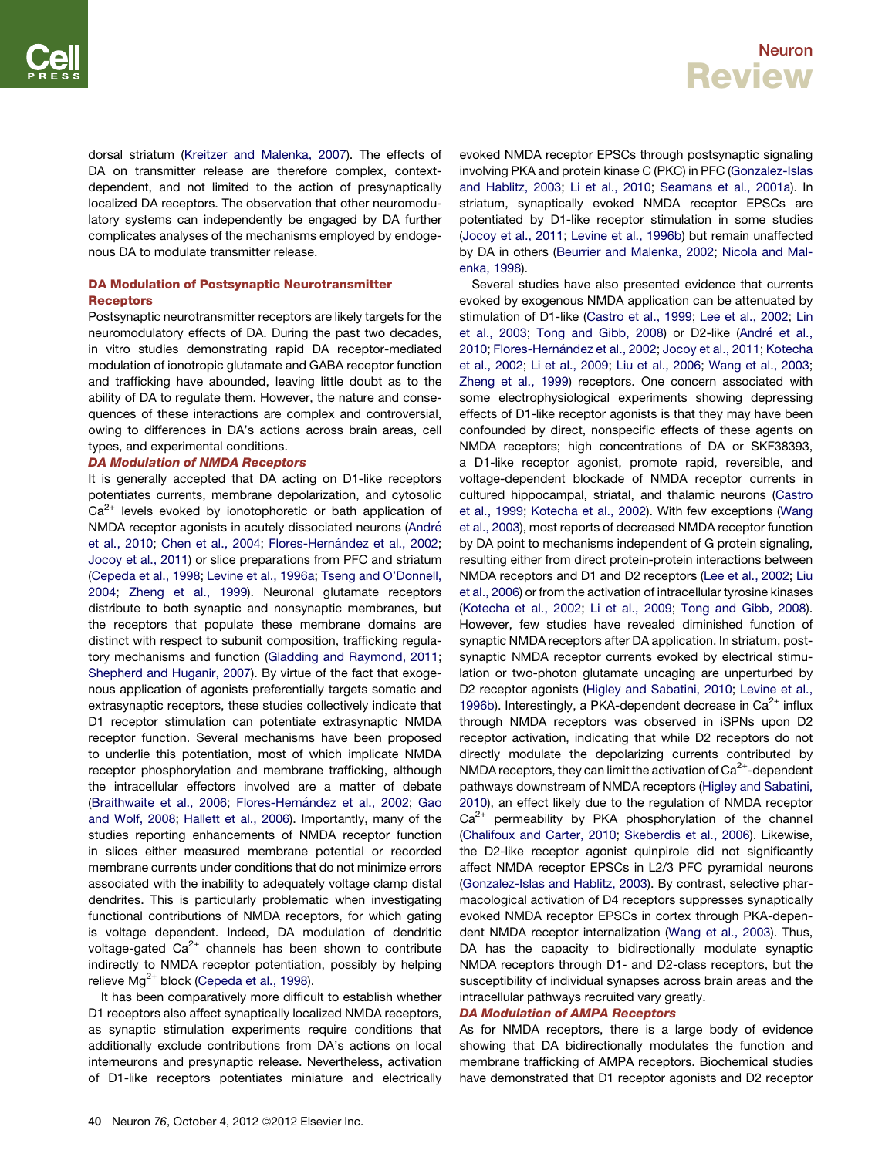dorsal striatum ([Kreitzer and Malenka, 2007](#page-14-0)). The effects of DA on transmitter release are therefore complex, contextdependent, and not limited to the action of presynaptically localized DA receptors. The observation that other neuromodulatory systems can independently be engaged by DA further complicates analyses of the mechanisms employed by endogenous DA to modulate transmitter release.

### DA Modulation of Postsynaptic Neurotransmitter **Receptors**

Postsynaptic neurotransmitter receptors are likely targets for the neuromodulatory effects of DA. During the past two decades, in vitro studies demonstrating rapid DA receptor-mediated modulation of ionotropic glutamate and GABA receptor function and trafficking have abounded, leaving little doubt as to the ability of DA to regulate them. However, the nature and consequences of these interactions are complex and controversial, owing to differences in DA's actions across brain areas, cell types, and experimental conditions.

#### DA Modulation of NMDA Receptors

It is generally accepted that DA acting on D1-like receptors potentiates currents, membrane depolarization, and cytosolic  $Ca<sup>2+</sup>$  levels evoked by ionotophoretic or bath application of NMDA receptor agonists in acutely dissociated neurons (André [et al., 2010;](#page-12-0) [Chen et al., 2004](#page-12-0); Flores-Herná[ndez et al., 2002;](#page-13-0) [Jocoy et al., 2011\)](#page-14-0) or slice preparations from PFC and striatum ([Cepeda et al., 1998](#page-12-0); [Levine et al., 1996a;](#page-14-0) [Tseng and O'Donnell,](#page-16-0) [2004](#page-16-0); [Zheng et al., 1999](#page-17-0)). Neuronal glutamate receptors distribute to both synaptic and nonsynaptic membranes, but the receptors that populate these membrane domains are distinct with respect to subunit composition, trafficking regulatory mechanisms and function [\(Gladding and Raymond, 2011;](#page-13-0) [Shepherd and Huganir, 2007\)](#page-15-0). By virtue of the fact that exogenous application of agonists preferentially targets somatic and extrasynaptic receptors, these studies collectively indicate that D1 receptor stimulation can potentiate extrasynaptic NMDA receptor function. Several mechanisms have been proposed to underlie this potentiation, most of which implicate NMDA receptor phosphorylation and membrane trafficking, although the intracellular effectors involved are a matter of debate ([Braithwaite et al., 2006;](#page-12-0) Flores-Herná[ndez et al., 2002;](#page-13-0) [Gao](#page-13-0) [and Wolf, 2008;](#page-13-0) [Hallett et al., 2006\)](#page-14-0). Importantly, many of the studies reporting enhancements of NMDA receptor function in slices either measured membrane potential or recorded membrane currents under conditions that do not minimize errors associated with the inability to adequately voltage clamp distal dendrites. This is particularly problematic when investigating functional contributions of NMDA receptors, for which gating is voltage dependent. Indeed, DA modulation of dendritic voltage-gated  $Ca^{2+}$  channels has been shown to contribute indirectly to NMDA receptor potentiation, possibly by helping relieve Mg<sup>2+</sup> block ([Cepeda et al., 1998](#page-12-0)).

It has been comparatively more difficult to establish whether D1 receptors also affect synaptically localized NMDA receptors, as synaptic stimulation experiments require conditions that additionally exclude contributions from DA's actions on local interneurons and presynaptic release. Nevertheless, activation of D1-like receptors potentiates miniature and electrically

evoked NMDA receptor EPSCs through postsynaptic signaling involving PKA and protein kinase C (PKC) in PFC [\(Gonzalez-Islas](#page-13-0) [and Hablitz, 2003;](#page-13-0) [Li et al., 2010;](#page-14-0) [Seamans et al., 2001a\)](#page-15-0). In striatum, synaptically evoked NMDA receptor EPSCs are potentiated by D1-like receptor stimulation in some studies [\(Jocoy et al., 2011](#page-14-0); [Levine et al., 1996b](#page-14-0)) but remain unaffected by DA in others [\(Beurrier and Malenka, 2002](#page-12-0); [Nicola and Mal](#page-15-0)[enka, 1998\)](#page-15-0).

Several studies have also presented evidence that currents evoked by exogenous NMDA application can be attenuated by stimulation of D1-like ([Castro et al., 1999](#page-12-0); [Lee et al., 2002](#page-14-0); [Lin](#page-14-0) [et al., 2003](#page-14-0); [Tong and Gibb, 2008\)](#page-16-0) or D2-like (André et al., [2010;](#page-12-0) Flores-Herná[ndez et al., 2002](#page-13-0); [Jocoy et al., 2011](#page-14-0); [Kotecha](#page-14-0) [et al., 2002;](#page-14-0) [Li et al., 2009;](#page-14-0) [Liu et al., 2006](#page-15-0); [Wang et al., 2003;](#page-16-0) [Zheng et al., 1999\)](#page-17-0) receptors. One concern associated with some electrophysiological experiments showing depressing effects of D1-like receptor agonists is that they may have been confounded by direct, nonspecific effects of these agents on NMDA receptors; high concentrations of DA or SKF38393, a D1-like receptor agonist, promote rapid, reversible, and voltage-dependent blockade of NMDA receptor currents in cultured hippocampal, striatal, and thalamic neurons ([Castro](#page-12-0) [et al., 1999;](#page-12-0) [Kotecha et al., 2002](#page-14-0)). With few exceptions ([Wang](#page-16-0) [et al., 2003\)](#page-16-0), most reports of decreased NMDA receptor function by DA point to mechanisms independent of G protein signaling, resulting either from direct protein-protein interactions between NMDA receptors and D1 and D2 receptors [\(Lee et al., 2002;](#page-14-0) [Liu](#page-15-0) [et al., 2006](#page-15-0)) or from the activation of intracellular tyrosine kinases ([Kotecha et al., 2002](#page-14-0); [Li et al., 2009;](#page-14-0) [Tong and Gibb, 2008](#page-16-0)). However, few studies have revealed diminished function of synaptic NMDA receptors after DA application. In striatum, postsynaptic NMDA receptor currents evoked by electrical stimulation or two-photon glutamate uncaging are unperturbed by D2 receptor agonists ([Higley and Sabatini, 2010](#page-14-0); [Levine et al.,](#page-14-0) [1996b\)](#page-14-0). Interestingly, a PKA-dependent decrease in  $Ca^{2+}$  influx through NMDA receptors was observed in iSPNs upon D2 receptor activation, indicating that while D2 receptors do not directly modulate the depolarizing currents contributed by NMDA receptors, they can limit the activation of  $Ca<sup>2+</sup>$ -dependent pathways downstream of NMDA receptors [\(Higley and Sabatini,](#page-14-0) [2010\)](#page-14-0), an effect likely due to the regulation of NMDA receptor  $Ca<sup>2+</sup>$  permeability by PKA phosphorylation of the channel [\(Chalifoux and Carter, 2010;](#page-12-0) [Skeberdis et al., 2006](#page-15-0)). Likewise, the D2-like receptor agonist quinpirole did not significantly affect NMDA receptor EPSCs in L2/3 PFC pyramidal neurons [\(Gonzalez-Islas and Hablitz, 2003\)](#page-13-0). By contrast, selective pharmacological activation of D4 receptors suppresses synaptically evoked NMDA receptor EPSCs in cortex through PKA-dependent NMDA receptor internalization [\(Wang et al., 2003](#page-16-0)). Thus, DA has the capacity to bidirectionally modulate synaptic NMDA receptors through D1- and D2-class receptors, but the susceptibility of individual synapses across brain areas and the intracellular pathways recruited vary greatly.

#### DA Modulation of AMPA Receptors

As for NMDA receptors, there is a large body of evidence showing that DA bidirectionally modulates the function and membrane trafficking of AMPA receptors. Biochemical studies have demonstrated that D1 receptor agonists and D2 receptor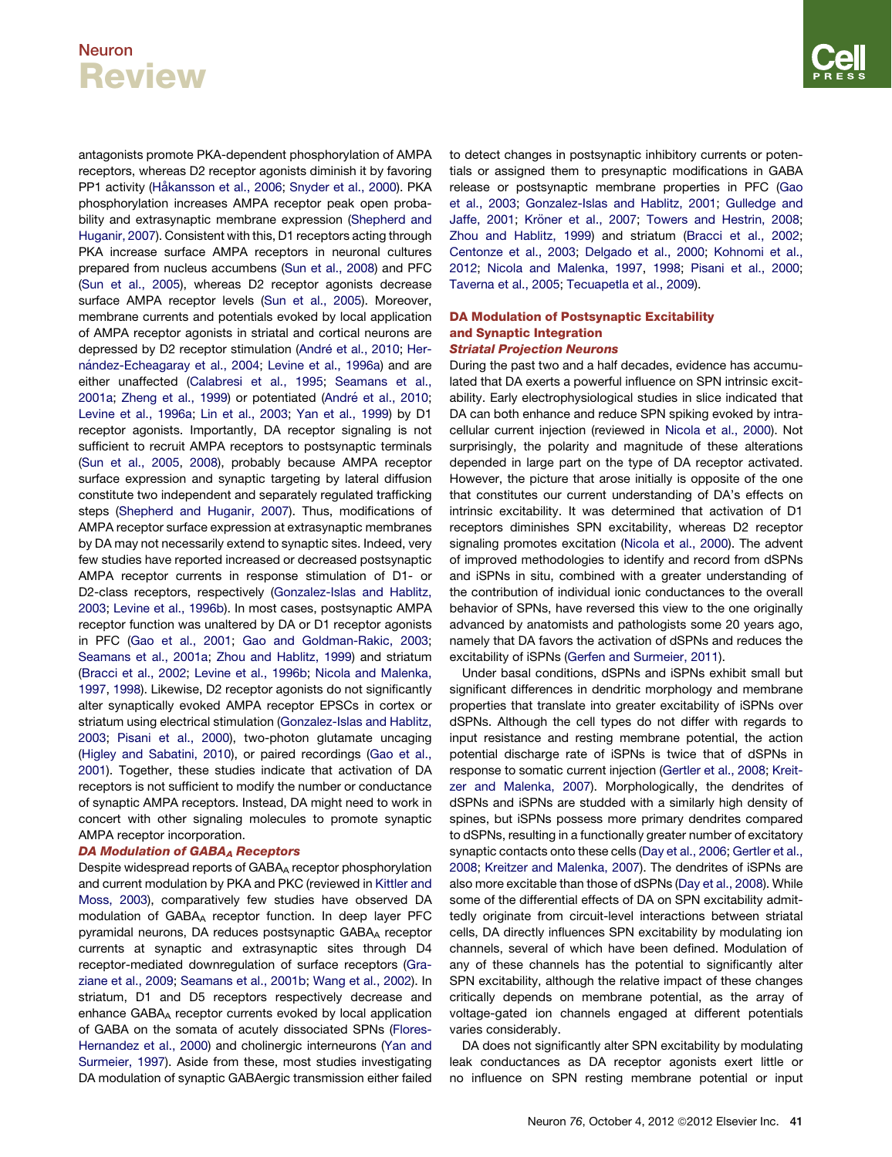antagonists promote PKA-dependent phosphorylation of AMPA receptors, whereas D2 receptor agonists diminish it by favoring PP1 activity (Hå[kansson et al., 2006;](#page-14-0) [Snyder et al., 2000](#page-15-0)). PKA phosphorylation increases AMPA receptor peak open probability and extrasynaptic membrane expression ([Shepherd and](#page-15-0) [Huganir, 2007](#page-15-0)). Consistent with this, D1 receptors acting through PKA increase surface AMPA receptors in neuronal cultures prepared from nucleus accumbens ([Sun et al., 2008](#page-16-0)) and PFC [\(Sun et al., 2005\)](#page-16-0), whereas D2 receptor agonists decrease surface AMPA receptor levels ([Sun et al., 2005](#page-16-0)). Moreover, membrane currents and potentials evoked by local application of AMPA receptor agonists in striatal and cortical neurons are depressed by D2 receptor stimulation (André [et al., 2010](#page-12-0); [Her](#page-14-0)ná[ndez-Echeagaray et al., 2004;](#page-14-0) [Levine et al., 1996a](#page-14-0)) and are either unaffected [\(Calabresi et al., 1995;](#page-12-0) [Seamans et al.,](#page-15-0) [2001a](#page-15-0); [Zheng et al., 1999\)](#page-17-0) or potentiated (André [et al., 2010;](#page-12-0) [Levine et al., 1996a;](#page-14-0) [Lin et al., 2003;](#page-14-0) [Yan et al., 1999](#page-16-0)) by D1 receptor agonists. Importantly, DA receptor signaling is not sufficient to recruit AMPA receptors to postsynaptic terminals [\(Sun et al., 2005](#page-16-0), [2008](#page-16-0)), probably because AMPA receptor surface expression and synaptic targeting by lateral diffusion constitute two independent and separately regulated trafficking steps [\(Shepherd and Huganir, 2007](#page-15-0)). Thus, modifications of AMPA receptor surface expression at extrasynaptic membranes by DA may not necessarily extend to synaptic sites. Indeed, very few studies have reported increased or decreased postsynaptic AMPA receptor currents in response stimulation of D1- or D2-class receptors, respectively [\(Gonzalez-Islas and Hablitz,](#page-13-0) [2003;](#page-13-0) [Levine et al., 1996b\)](#page-14-0). In most cases, postsynaptic AMPA receptor function was unaltered by DA or D1 receptor agonists in PFC [\(Gao et al., 2001;](#page-13-0) [Gao and Goldman-Rakic, 2003;](#page-13-0) [Seamans et al., 2001a;](#page-15-0) [Zhou and Hablitz, 1999\)](#page-17-0) and striatum [\(Bracci et al., 2002](#page-12-0); [Levine et al., 1996b;](#page-14-0) [Nicola and Malenka,](#page-15-0) [1997,](#page-15-0) [1998](#page-15-0)). Likewise, D2 receptor agonists do not significantly alter synaptically evoked AMPA receptor EPSCs in cortex or striatum using electrical stimulation ([Gonzalez-Islas and Hablitz,](#page-13-0) [2003;](#page-13-0) [Pisani et al., 2000](#page-15-0)), two-photon glutamate uncaging [\(Higley and Sabatini, 2010](#page-14-0)), or paired recordings [\(Gao et al.,](#page-13-0) [2001\)](#page-13-0). Together, these studies indicate that activation of DA receptors is not sufficient to modify the number or conductance of synaptic AMPA receptors. Instead, DA might need to work in concert with other signaling molecules to promote synaptic AMPA receptor incorporation.

### DA Modulation of GABA<sub>A</sub> Receptors

Despite widespread reports of GABA<sub>A</sub> receptor phosphorylation and current modulation by PKA and PKC (reviewed in [Kittler and](#page-14-0) [Moss, 2003\)](#page-14-0), comparatively few studies have observed DA modulation of GABA<sub>A</sub> receptor function. In deep layer PFC pyramidal neurons, DA reduces postsynaptic GABA<sub>A</sub> receptor currents at synaptic and extrasynaptic sites through D4 receptor-mediated downregulation of surface receptors [\(Gra](#page-13-0)[ziane et al., 2009](#page-13-0); [Seamans et al., 2001b](#page-15-0); [Wang et al., 2002](#page-16-0)). In striatum, D1 and D5 receptors respectively decrease and enhance  $GABA_A$  receptor currents evoked by local application of GABA on the somata of acutely dissociated SPNs ([Flores-](#page-13-0)[Hernandez et al., 2000\)](#page-13-0) and cholinergic interneurons [\(Yan and](#page-16-0) [Surmeier, 1997\)](#page-16-0). Aside from these, most studies investigating DA modulation of synaptic GABAergic transmission either failed to detect changes in postsynaptic inhibitory currents or potentials or assigned them to presynaptic modifications in GABA release or postsynaptic membrane properties in PFC [\(Gao](#page-13-0) [et al., 2003](#page-13-0); [Gonzalez-Islas and Hablitz, 2001;](#page-13-0) [Gulledge and](#page-13-0) [Jaffe, 2001](#page-13-0); Krö[ner et al., 2007;](#page-14-0) [Towers and Hestrin, 2008;](#page-16-0) [Zhou and Hablitz, 1999](#page-17-0)) and striatum [\(Bracci et al., 2002;](#page-12-0) [Centonze et al., 2003](#page-12-0); [Delgado et al., 2000;](#page-13-0) [Kohnomi et al.,](#page-14-0) [2012;](#page-14-0) [Nicola and Malenka, 1997,](#page-15-0) [1998](#page-15-0); [Pisani et al., 2000;](#page-15-0) [Taverna et al., 2005;](#page-16-0) [Tecuapetla et al., 2009\)](#page-16-0).

### DA Modulation of Postsynaptic Excitability and Synaptic Integration Striatal Projection Neurons

During the past two and a half decades, evidence has accumulated that DA exerts a powerful influence on SPN intrinsic excitability. Early electrophysiological studies in slice indicated that DA can both enhance and reduce SPN spiking evoked by intracellular current injection (reviewed in [Nicola et al., 2000\)](#page-15-0). Not surprisingly, the polarity and magnitude of these alterations depended in large part on the type of DA receptor activated. However, the picture that arose initially is opposite of the one that constitutes our current understanding of DA's effects on intrinsic excitability. It was determined that activation of D1 receptors diminishes SPN excitability, whereas D2 receptor signaling promotes excitation [\(Nicola et al., 2000\)](#page-15-0). The advent of improved methodologies to identify and record from dSPNs and iSPNs in situ, combined with a greater understanding of the contribution of individual ionic conductances to the overall behavior of SPNs, have reversed this view to the one originally advanced by anatomists and pathologists some 20 years ago, namely that DA favors the activation of dSPNs and reduces the excitability of iSPNs [\(Gerfen and Surmeier, 2011](#page-13-0)).

Under basal conditions, dSPNs and iSPNs exhibit small but significant differences in dendritic morphology and membrane properties that translate into greater excitability of iSPNs over dSPNs. Although the cell types do not differ with regards to input resistance and resting membrane potential, the action potential discharge rate of iSPNs is twice that of dSPNs in response to somatic current injection [\(Gertler et al., 2008;](#page-13-0) [Kreit](#page-14-0)[zer and Malenka, 2007\)](#page-14-0). Morphologically, the dendrites of dSPNs and iSPNs are studded with a similarly high density of spines, but iSPNs possess more primary dendrites compared to dSPNs, resulting in a functionally greater number of excitatory synaptic contacts onto these cells [\(Day et al., 2006;](#page-12-0) [Gertler et al.,](#page-13-0) [2008;](#page-13-0) [Kreitzer and Malenka, 2007\)](#page-14-0). The dendrites of iSPNs are also more excitable than those of dSPNs ([Day et al., 2008](#page-13-0)). While some of the differential effects of DA on SPN excitability admittedly originate from circuit-level interactions between striatal cells, DA directly influences SPN excitability by modulating ion channels, several of which have been defined. Modulation of any of these channels has the potential to significantly alter SPN excitability, although the relative impact of these changes critically depends on membrane potential, as the array of voltage-gated ion channels engaged at different potentials varies considerably.

DA does not significantly alter SPN excitability by modulating leak conductances as DA receptor agonists exert little or no influence on SPN resting membrane potential or input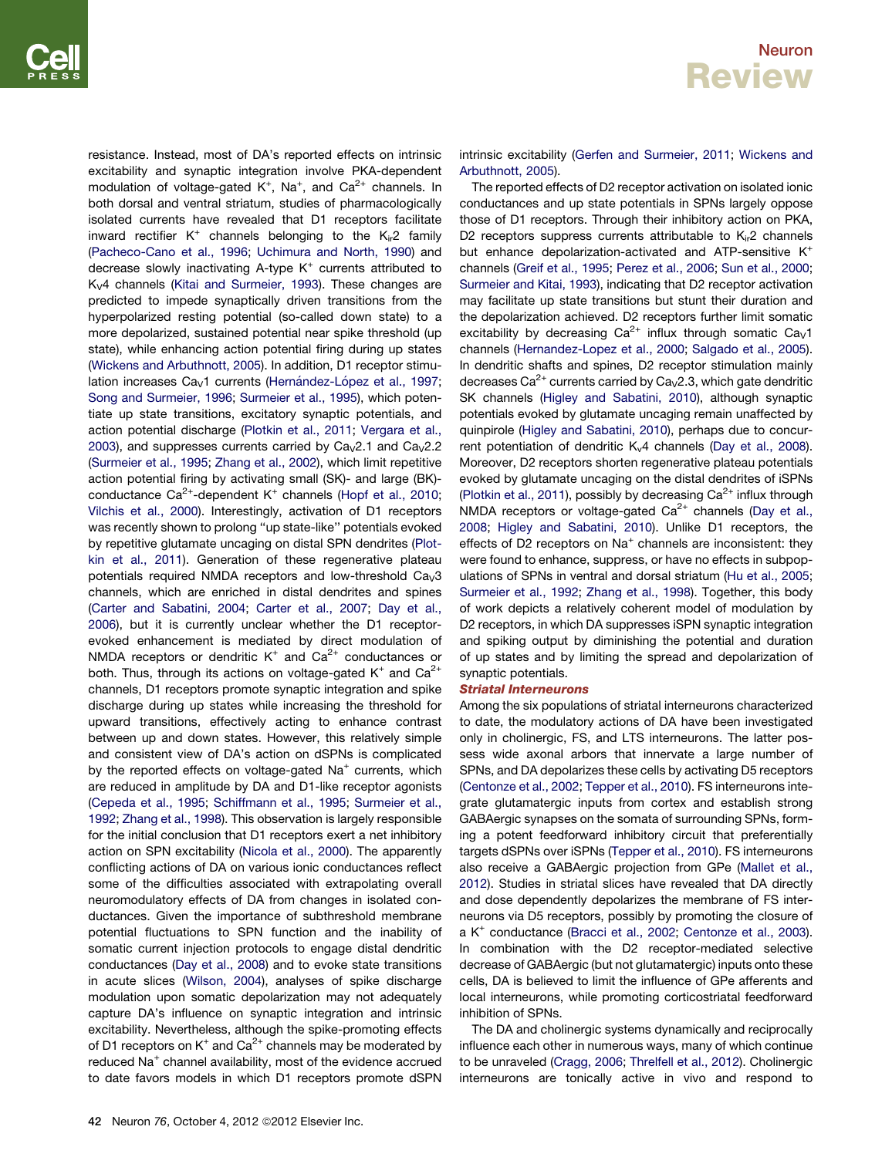resistance. Instead, most of DA's reported effects on intrinsic excitability and synaptic integration involve PKA-dependent modulation of voltage-gated  $K^+$ , Na<sup>+</sup>, and Ca<sup>2+</sup> channels. In both dorsal and ventral striatum, studies of pharmacologically isolated currents have revealed that D1 receptors facilitate inward rectifier  $K^+$  channels belonging to the  $K_{ir}2$  family ([Pacheco-Cano et al., 1996;](#page-15-0) [Uchimura and North, 1990](#page-16-0)) and decrease slowly inactivating A-type  $K^+$  currents attributed to  $K<sub>v</sub>4$  channels ([Kitai and Surmeier, 1993](#page-14-0)). These changes are predicted to impede synaptically driven transitions from the hyperpolarized resting potential (so-called down state) to a more depolarized, sustained potential near spike threshold (up state), while enhancing action potential firing during up states ([Wickens and Arbuthnott, 2005\)](#page-16-0). In addition, D1 receptor stimulation increases Ca<sub>v</sub>1 currents (Hernández-Ló[pez et al., 1997;](#page-14-0) [Song and Surmeier, 1996](#page-15-0); [Surmeier et al., 1995\)](#page-16-0), which potentiate up state transitions, excitatory synaptic potentials, and action potential discharge [\(Plotkin et al., 2011](#page-15-0); [Vergara et al.,](#page-16-0) [2003](#page-16-0)), and suppresses currents carried by  $Ca<sub>v</sub>2.1$  and  $Ca<sub>v</sub>2.2$ ([Surmeier et al., 1995;](#page-16-0) [Zhang et al., 2002](#page-17-0)), which limit repetitive action potential firing by activating small (SK)- and large (BK)- conductance Ca<sup>2+</sup>-dependent K<sup>+</sup> channels ([Hopf et al., 2010;](#page-14-0) [Vilchis et al., 2000\)](#page-16-0). Interestingly, activation of D1 receptors was recently shown to prolong ''up state-like'' potentials evoked by repetitive glutamate uncaging on distal SPN dendrites ([Plot](#page-15-0)[kin et al., 2011\)](#page-15-0). Generation of these regenerative plateau potentials required NMDA receptors and low-threshold  $Ca<sub>v</sub>3$ channels, which are enriched in distal dendrites and spines ([Carter and Sabatini, 2004](#page-12-0); [Carter et al., 2007;](#page-12-0) [Day et al.,](#page-12-0) [2006](#page-12-0)), but it is currently unclear whether the D1 receptorevoked enhancement is mediated by direct modulation of NMDA receptors or dendritic  $K^+$  and  $Ca^{2+}$  conductances or both. Thus, through its actions on voltage-gated  $K^+$  and  $Ca^{2+}$ channels, D1 receptors promote synaptic integration and spike discharge during up states while increasing the threshold for upward transitions, effectively acting to enhance contrast between up and down states. However, this relatively simple and consistent view of DA's action on dSPNs is complicated by the reported effects on voltage-gated Na<sup>+</sup> currents, which are reduced in amplitude by DA and D1-like receptor agonists ([Cepeda et al., 1995;](#page-12-0) [Schiffmann et al., 1995](#page-15-0); [Surmeier et al.,](#page-16-0) [1992](#page-16-0); [Zhang et al., 1998\)](#page-17-0). This observation is largely responsible for the initial conclusion that D1 receptors exert a net inhibitory action on SPN excitability ([Nicola et al., 2000](#page-15-0)). The apparently conflicting actions of DA on various ionic conductances reflect some of the difficulties associated with extrapolating overall neuromodulatory effects of DA from changes in isolated conductances. Given the importance of subthreshold membrane potential fluctuations to SPN function and the inability of somatic current injection protocols to engage distal dendritic conductances ([Day et al., 2008\)](#page-13-0) and to evoke state transitions in acute slices ([Wilson, 2004\)](#page-16-0), analyses of spike discharge modulation upon somatic depolarization may not adequately capture DA's influence on synaptic integration and intrinsic excitability. Nevertheless, although the spike-promoting effects of D1 receptors on  $K^+$  and Ca<sup>2+</sup> channels may be moderated by reduced Na<sup>+</sup> channel availability, most of the evidence accrued to date favors models in which D1 receptors promote dSPN

# Neuron Review

intrinsic excitability [\(Gerfen and Surmeier, 2011](#page-13-0); [Wickens and](#page-16-0) [Arbuthnott, 2005\)](#page-16-0).

The reported effects of D2 receptor activation on isolated ionic conductances and up state potentials in SPNs largely oppose those of D1 receptors. Through their inhibitory action on PKA, D2 receptors suppress currents attributable to  $K_{ir}$ 2 channels but enhance depolarization-activated and ATP-sensitive K<sup>+</sup> channels [\(Greif et al., 1995](#page-13-0); [Perez et al., 2006](#page-15-0); [Sun et al., 2000;](#page-16-0) [Surmeier and Kitai, 1993\)](#page-16-0), indicating that D2 receptor activation may facilitate up state transitions but stunt their duration and the depolarization achieved. D2 receptors further limit somatic excitability by decreasing Ca<sup>2+</sup> influx through somatic Ca<sub>V</sub>1 channels ([Hernandez-Lopez et al., 2000](#page-14-0); [Salgado et al., 2005](#page-15-0)). In dendritic shafts and spines, D2 receptor stimulation mainly decreases  $Ca^{2+}$  currents carried by  $Ca<sub>v</sub>2.3$ , which gate dendritic SK channels [\(Higley and Sabatini, 2010](#page-14-0)), although synaptic potentials evoked by glutamate uncaging remain unaffected by quinpirole [\(Higley and Sabatini, 2010](#page-14-0)), perhaps due to concurrent potentiation of dendritic  $K_v4$  channels [\(Day et al., 2008](#page-13-0)). Moreover, D2 receptors shorten regenerative plateau potentials evoked by glutamate uncaging on the distal dendrites of iSPNs [\(Plotkin et al., 2011\)](#page-15-0), possibly by decreasing  $Ca^{2+}$  influx through NMDA receptors or voltage-gated  $Ca^{2+}$  channels [\(Day et al.,](#page-13-0) [2008;](#page-13-0) [Higley and Sabatini, 2010](#page-14-0)). Unlike D1 receptors, the effects of D2 receptors on  $Na<sup>+</sup>$  channels are inconsistent: they were found to enhance, suppress, or have no effects in subpopulations of SPNs in ventral and dorsal striatum ([Hu et al., 2005;](#page-14-0) [Surmeier et al., 1992](#page-16-0); [Zhang et al., 1998](#page-17-0)). Together, this body of work depicts a relatively coherent model of modulation by D2 receptors, in which DA suppresses iSPN synaptic integration and spiking output by diminishing the potential and duration of up states and by limiting the spread and depolarization of synaptic potentials.

#### Striatal Interneurons

Among the six populations of striatal interneurons characterized to date, the modulatory actions of DA have been investigated only in cholinergic, FS, and LTS interneurons. The latter possess wide axonal arbors that innervate a large number of SPNs, and DA depolarizes these cells by activating D5 receptors [\(Centonze et al., 2002;](#page-12-0) [Tepper et al., 2010](#page-16-0)). FS interneurons integrate glutamatergic inputs from cortex and establish strong GABAergic synapses on the somata of surrounding SPNs, forming a potent feedforward inhibitory circuit that preferentially targets dSPNs over iSPNs ([Tepper et al., 2010\)](#page-16-0). FS interneurons also receive a GABAergic projection from GPe ([Mallet et al.,](#page-15-0) [2012\)](#page-15-0). Studies in striatal slices have revealed that DA directly and dose dependently depolarizes the membrane of FS interneurons via D5 receptors, possibly by promoting the closure of a K<sup>+</sup> conductance [\(Bracci et al., 2002](#page-12-0); [Centonze et al., 2003](#page-12-0)). In combination with the D2 receptor-mediated selective decrease of GABAergic (but not glutamatergic) inputs onto these cells, DA is believed to limit the influence of GPe afferents and local interneurons, while promoting corticostriatal feedforward inhibition of SPNs.

The DA and cholinergic systems dynamically and reciprocally influence each other in numerous ways, many of which continue to be unraveled ([Cragg, 2006](#page-12-0); [Threlfell et al., 2012](#page-16-0)). Cholinergic interneurons are tonically active in vivo and respond to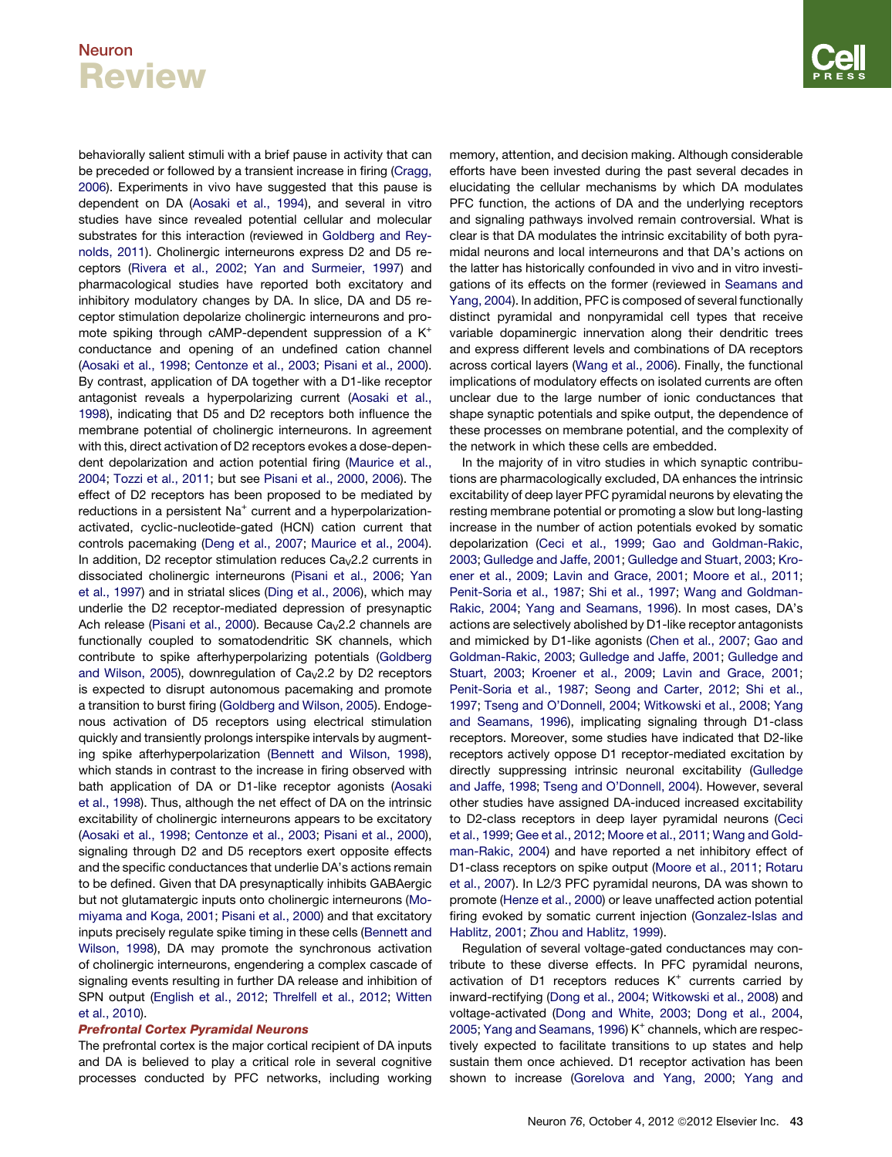behaviorally salient stimuli with a brief pause in activity that can be preceded or followed by a transient increase in firing ([Cragg,](#page-12-0) [2006\)](#page-12-0). Experiments in vivo have suggested that this pause is dependent on DA [\(Aosaki et al., 1994\)](#page-12-0), and several in vitro studies have since revealed potential cellular and molecular substrates for this interaction (reviewed in [Goldberg and Rey](#page-13-0)[nolds, 2011](#page-13-0)). Cholinergic interneurons express D2 and D5 receptors ([Rivera et al., 2002;](#page-15-0) [Yan and Surmeier, 1997\)](#page-16-0) and pharmacological studies have reported both excitatory and inhibitory modulatory changes by DA. In slice, DA and D5 receptor stimulation depolarize cholinergic interneurons and promote spiking through cAMP-dependent suppression of a K<sup>+</sup> conductance and opening of an undefined cation channel [\(Aosaki et al., 1998;](#page-12-0) [Centonze et al., 2003;](#page-12-0) [Pisani et al., 2000\)](#page-15-0). By contrast, application of DA together with a D1-like receptor antagonist reveals a hyperpolarizing current ([Aosaki et al.,](#page-12-0) [1998\)](#page-12-0), indicating that D5 and D2 receptors both influence the membrane potential of cholinergic interneurons. In agreement with this, direct activation of D2 receptors evokes a dose-dependent depolarization and action potential firing ([Maurice et al.,](#page-15-0) [2004;](#page-15-0) [Tozzi et al., 2011](#page-16-0); but see [Pisani et al., 2000,](#page-15-0) [2006\)](#page-15-0). The effect of D2 receptors has been proposed to be mediated by reductions in a persistent  $Na<sup>+</sup>$  current and a hyperpolarizationactivated, cyclic-nucleotide-gated (HCN) cation current that controls pacemaking ([Deng et al., 2007](#page-13-0); [Maurice et al., 2004\)](#page-15-0). In addition, D2 receptor stimulation reduces  $Ca<sub>v</sub>2.2$  currents in dissociated cholinergic interneurons [\(Pisani et al., 2006](#page-15-0); [Yan](#page-16-0) [et al., 1997\)](#page-16-0) and in striatal slices [\(Ding et al., 2006\)](#page-13-0), which may underlie the D2 receptor-mediated depression of presynaptic Ach release ([Pisani et al., 2000](#page-15-0)). Because  $Ca<sub>v</sub>2.2$  channels are functionally coupled to somatodendritic SK channels, which contribute to spike afterhyperpolarizing potentials ([Goldberg](#page-13-0) [and Wilson, 2005](#page-13-0)), downregulation of  $Ca<sub>v</sub>2.2$  by D2 receptors is expected to disrupt autonomous pacemaking and promote a transition to burst firing ([Goldberg and Wilson, 2005](#page-13-0)). Endogenous activation of D5 receptors using electrical stimulation quickly and transiently prolongs interspike intervals by augmenting spike afterhyperpolarization [\(Bennett and Wilson, 1998\)](#page-12-0), which stands in contrast to the increase in firing observed with bath application of DA or D1-like receptor agonists ([Aosaki](#page-12-0) [et al., 1998](#page-12-0)). Thus, although the net effect of DA on the intrinsic excitability of cholinergic interneurons appears to be excitatory [\(Aosaki et al., 1998;](#page-12-0) [Centonze et al., 2003;](#page-12-0) [Pisani et al., 2000\)](#page-15-0), signaling through D2 and D5 receptors exert opposite effects and the specific conductances that underlie DA's actions remain to be defined. Given that DA presynaptically inhibits GABAergic but not glutamatergic inputs onto cholinergic interneurons ([Mo](#page-15-0)[miyama and Koga, 2001](#page-15-0); [Pisani et al., 2000\)](#page-15-0) and that excitatory inputs precisely regulate spike timing in these cells [\(Bennett and](#page-12-0) [Wilson, 1998](#page-12-0)), DA may promote the synchronous activation of cholinergic interneurons, engendering a complex cascade of signaling events resulting in further DA release and inhibition of SPN output ([English et al., 2012;](#page-13-0) [Threlfell et al., 2012](#page-16-0); [Witten](#page-16-0) [et al., 2010\)](#page-16-0).

### Prefrontal Cortex Pyramidal Neurons

The prefrontal cortex is the major cortical recipient of DA inputs and DA is believed to play a critical role in several cognitive processes conducted by PFC networks, including working

memory, attention, and decision making. Although considerable efforts have been invested during the past several decades in elucidating the cellular mechanisms by which DA modulates PFC function, the actions of DA and the underlying receptors and signaling pathways involved remain controversial. What is clear is that DA modulates the intrinsic excitability of both pyramidal neurons and local interneurons and that DA's actions on the latter has historically confounded in vivo and in vitro investigations of its effects on the former (reviewed in [Seamans and](#page-15-0) [Yang, 2004](#page-15-0)). In addition, PFC is composed of several functionally distinct pyramidal and nonpyramidal cell types that receive variable dopaminergic innervation along their dendritic trees and express different levels and combinations of DA receptors across cortical layers [\(Wang et al., 2006](#page-16-0)). Finally, the functional implications of modulatory effects on isolated currents are often unclear due to the large number of ionic conductances that shape synaptic potentials and spike output, the dependence of these processes on membrane potential, and the complexity of the network in which these cells are embedded.

In the majority of in vitro studies in which synaptic contributions are pharmacologically excluded, DA enhances the intrinsic excitability of deep layer PFC pyramidal neurons by elevating the resting membrane potential or promoting a slow but long-lasting increase in the number of action potentials evoked by somatic depolarization ([Ceci et al., 1999](#page-12-0); [Gao and Goldman-Rakic,](#page-13-0) [2003;](#page-13-0) [Gulledge and Jaffe, 2001](#page-13-0); [Gulledge and Stuart, 2003](#page-14-0); [Kro](#page-14-0)[ener et al., 2009](#page-14-0); [Lavin and Grace, 2001](#page-14-0); [Moore et al., 2011;](#page-15-0) [Penit-Soria et al., 1987;](#page-15-0) [Shi et al., 1997](#page-15-0); [Wang and Goldman-](#page-16-0)[Rakic, 2004;](#page-16-0) [Yang and Seamans, 1996](#page-17-0)). In most cases, DA's actions are selectively abolished by D1-like receptor antagonists and mimicked by D1-like agonists [\(Chen et al., 2007](#page-12-0); [Gao and](#page-13-0) [Goldman-Rakic, 2003](#page-13-0); [Gulledge and Jaffe, 2001;](#page-13-0) [Gulledge and](#page-14-0) [Stuart, 2003;](#page-14-0) Kroener [et al., 2009](#page-14-0); [Lavin and Grace, 2001;](#page-14-0) [Penit-Soria et al., 1987;](#page-15-0) [Seong and Carter, 2012](#page-15-0); [Shi et al.,](#page-15-0) [1997;](#page-15-0) [Tseng and O'Donnell, 2004;](#page-16-0) [Witkowski et al., 2008;](#page-16-0) [Yang](#page-17-0) [and Seamans, 1996\)](#page-17-0), implicating signaling through D1-class receptors. Moreover, some studies have indicated that D2-like receptors actively oppose D1 receptor-mediated excitation by directly suppressing intrinsic neuronal excitability [\(Gulledge](#page-13-0) [and Jaffe, 1998;](#page-13-0) [Tseng and O'Donnell, 2004\)](#page-16-0). However, several other studies have assigned DA-induced increased excitability to D2-class receptors in deep layer pyramidal neurons [\(Ceci](#page-12-0) [et al., 1999;](#page-12-0) [Gee et al., 2012;](#page-13-0) [Moore et al., 2011;](#page-15-0) [Wang and Gold](#page-16-0)[man-Rakic, 2004\)](#page-16-0) and have reported a net inhibitory effect of D1-class receptors on spike output [\(Moore et al., 2011;](#page-15-0) [Rotaru](#page-15-0) [et al., 2007](#page-15-0)). In L2/3 PFC pyramidal neurons, DA was shown to promote [\(Henze et al., 2000](#page-14-0)) or leave unaffected action potential firing evoked by somatic current injection [\(Gonzalez-Islas and](#page-13-0) [Hablitz, 2001;](#page-13-0) [Zhou and Hablitz, 1999\)](#page-17-0).

Regulation of several voltage-gated conductances may contribute to these diverse effects. In PFC pyramidal neurons, activation of D1 receptors reduces  $K^+$  currents carried by inward-rectifying [\(Dong et al., 2004;](#page-13-0) [Witkowski et al., 2008](#page-16-0)) and voltage-activated ([Dong and White, 2003](#page-13-0); [Dong et al., 2004,](#page-13-0) [2005;](#page-13-0) [Yang and Seamans, 1996\)](#page-17-0) K<sup>+</sup> channels, which are respectively expected to facilitate transitions to up states and help sustain them once achieved. D1 receptor activation has been shown to increase [\(Gorelova and Yang, 2000](#page-13-0); [Yang and](#page-17-0)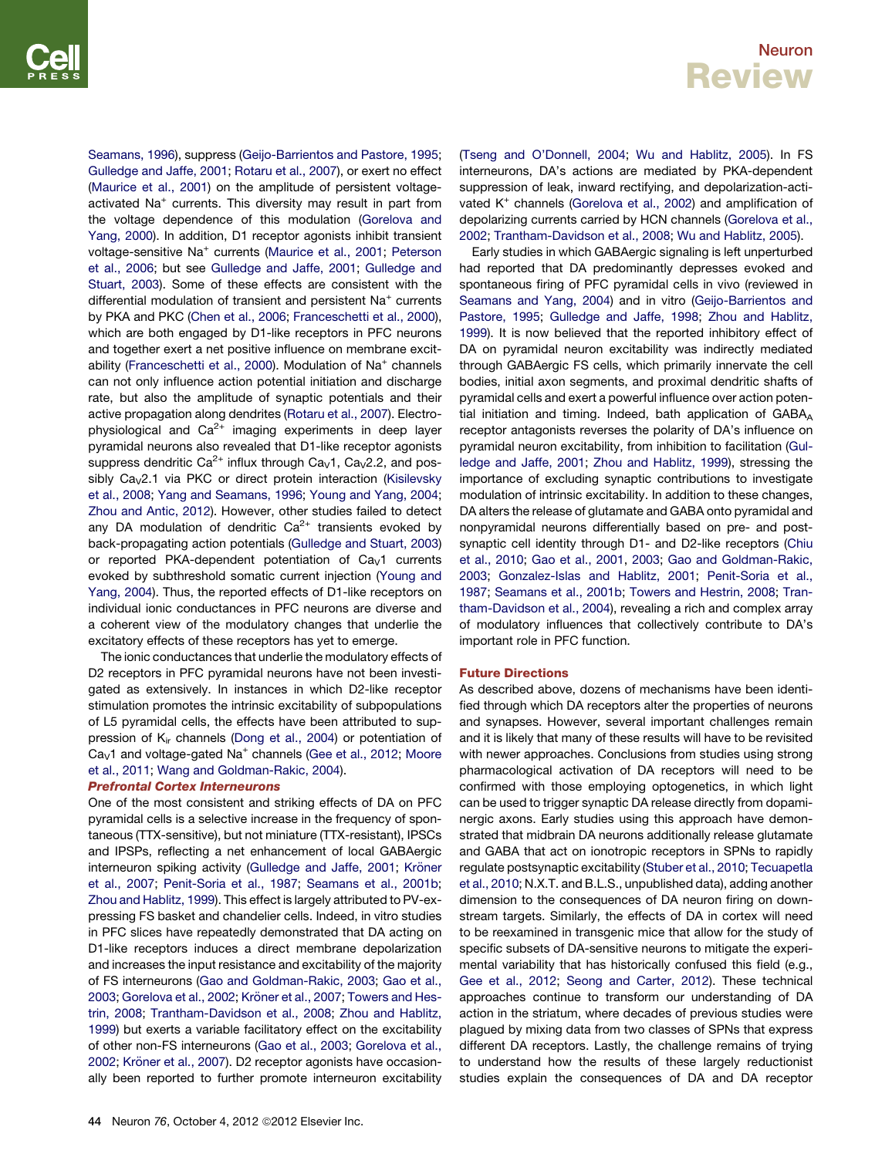[Seamans, 1996](#page-17-0)), suppress ([Geijo-Barrientos and Pastore, 1995;](#page-13-0) [Gulledge and Jaffe, 2001](#page-13-0); [Rotaru et al., 2007\)](#page-15-0), or exert no effect ([Maurice et al., 2001](#page-15-0)) on the amplitude of persistent voltageactivated Na<sup>+</sup> currents. This diversity may result in part from the voltage dependence of this modulation ([Gorelova and](#page-13-0) [Yang, 2000](#page-13-0)). In addition, D1 receptor agonists inhibit transient voltage-sensitive Na<sup>+</sup> currents [\(Maurice et al., 2001](#page-15-0); [Peterson](#page-15-0) [et al., 2006](#page-15-0); but see [Gulledge and Jaffe, 2001](#page-13-0); [Gulledge and](#page-14-0) [Stuart, 2003\)](#page-14-0). Some of these effects are consistent with the differential modulation of transient and persistent  $Na<sup>+</sup>$  currents by PKA and PKC [\(Chen et al., 2006;](#page-12-0) [Franceschetti et al., 2000](#page-13-0)), which are both engaged by D1-like receptors in PFC neurons and together exert a net positive influence on membrane excit-ability ([Franceschetti et al., 2000](#page-13-0)). Modulation of Na<sup>+</sup> channels can not only influence action potential initiation and discharge rate, but also the amplitude of synaptic potentials and their active propagation along dendrites [\(Rotaru et al., 2007\)](#page-15-0). Electrophysiological and  $Ca^{2+}$  imaging experiments in deep layer pyramidal neurons also revealed that D1-like receptor agonists suppress dendritic  $Ca^{2+}$  influx through  $Ca<sub>V</sub>1$ ,  $Ca<sub>V</sub>2.2$ , and possibly  $Ca<sub>v</sub>2.1$  via PKC or direct protein interaction ([Kisilevsky](#page-14-0) [et al., 2008;](#page-14-0) [Yang and Seamans, 1996;](#page-17-0) [Young and Yang, 2004;](#page-17-0) [Zhou and Antic, 2012](#page-17-0)). However, other studies failed to detect any DA modulation of dendritic  $Ca^{2+}$  transients evoked by back-propagating action potentials [\(Gulledge and Stuart, 2003\)](#page-14-0) or reported PKA-dependent potentiation of  $Ca<sub>v</sub>1$  currents evoked by subthreshold somatic current injection ([Young and](#page-17-0) [Yang, 2004](#page-17-0)). Thus, the reported effects of D1-like receptors on individual ionic conductances in PFC neurons are diverse and a coherent view of the modulatory changes that underlie the excitatory effects of these receptors has yet to emerge.

The ionic conductances that underlie the modulatory effects of D2 receptors in PFC pyramidal neurons have not been investigated as extensively. In instances in which D2-like receptor stimulation promotes the intrinsic excitability of subpopulations of L5 pyramidal cells, the effects have been attributed to suppression of  $K_{ir}$  channels [\(Dong et al., 2004](#page-13-0)) or potentiation of  $Ca<sub>V</sub>1$  and voltage-gated Na<sup>+</sup> channels [\(Gee et al., 2012](#page-13-0); [Moore](#page-15-0) [et al., 2011;](#page-15-0) [Wang and Goldman-Rakic, 2004](#page-16-0)).

#### Prefrontal Cortex Interneurons

One of the most consistent and striking effects of DA on PFC pyramidal cells is a selective increase in the frequency of spontaneous (TTX-sensitive), but not miniature (TTX-resistant), IPSCs and IPSPs, reflecting a net enhancement of local GABAergic interneuron spiking activity [\(Gulledge and Jaffe, 2001;](#page-13-0) Kröner [et al., 2007;](#page-14-0) [Penit-Soria et al., 1987](#page-15-0); [Seamans et al., 2001b;](#page-15-0) [Zhou and Hablitz, 1999](#page-17-0)). This effect is largely attributed to PV-expressing FS basket and chandelier cells. Indeed, in vitro studies in PFC slices have repeatedly demonstrated that DA acting on D1-like receptors induces a direct membrane depolarization and increases the input resistance and excitability of the majority of FS interneurons [\(Gao and Goldman-Rakic, 2003;](#page-13-0) [Gao et al.,](#page-13-0) [2003](#page-13-0); [Gorelova et al., 2002](#page-13-0); Krö[ner et al., 2007](#page-14-0); [Towers and Hes](#page-16-0)[trin, 2008](#page-16-0); [Trantham-Davidson et al., 2008](#page-16-0); [Zhou and Hablitz,](#page-17-0) [1999](#page-17-0)) but exerts a variable facilitatory effect on the excitability of other non-FS interneurons ([Gao et al., 2003;](#page-13-0) [Gorelova et al.,](#page-13-0) [2002](#page-13-0); Krö[ner et al., 2007\)](#page-14-0). D2 receptor agonists have occasionally been reported to further promote interneuron excitability

# Neuron Review

[\(Tseng and O'Donnell, 2004](#page-16-0); [Wu and Hablitz, 2005\)](#page-16-0). In FS interneurons, DA's actions are mediated by PKA-dependent suppression of leak, inward rectifying, and depolarization-acti-vated K<sup>+</sup> channels [\(Gorelova et al., 2002](#page-13-0)) and amplification of depolarizing currents carried by HCN channels [\(Gorelova et al.,](#page-13-0) [2002;](#page-13-0) [Trantham-Davidson et al., 2008](#page-16-0); [Wu and Hablitz, 2005](#page-16-0)).

Early studies in which GABAergic signaling is left unperturbed had reported that DA predominantly depresses evoked and spontaneous firing of PFC pyramidal cells in vivo (reviewed in [Seamans and Yang, 2004\)](#page-15-0) and in vitro ([Geijo-Barrientos and](#page-13-0) [Pastore, 1995](#page-13-0); [Gulledge and Jaffe, 1998;](#page-13-0) [Zhou and Hablitz,](#page-17-0) [1999\)](#page-17-0). It is now believed that the reported inhibitory effect of DA on pyramidal neuron excitability was indirectly mediated through GABAergic FS cells, which primarily innervate the cell bodies, initial axon segments, and proximal dendritic shafts of pyramidal cells and exert a powerful influence over action potential initiation and timing. Indeed, bath application of GABA<sub>A</sub> receptor antagonists reverses the polarity of DA's influence on pyramidal neuron excitability, from inhibition to facilitation ([Gul](#page-13-0)[ledge and Jaffe, 2001;](#page-13-0) [Zhou and Hablitz, 1999\)](#page-17-0), stressing the importance of excluding synaptic contributions to investigate modulation of intrinsic excitability. In addition to these changes, DA alters the release of glutamate and GABA onto pyramidal and nonpyramidal neurons differentially based on pre- and postsynaptic cell identity through D1- and D2-like receptors ([Chiu](#page-12-0) [et al., 2010](#page-12-0); [Gao et al., 2001](#page-13-0), [2003](#page-13-0); [Gao and Goldman-Rakic,](#page-13-0) [2003;](#page-13-0) [Gonzalez-Islas and Hablitz, 2001;](#page-13-0) [Penit-Soria et al.,](#page-15-0) [1987;](#page-15-0) [Seamans et al., 2001b;](#page-15-0) [Towers and Hestrin, 2008;](#page-16-0) [Tran](#page-16-0)[tham-Davidson et al., 2004\)](#page-16-0), revealing a rich and complex array of modulatory influences that collectively contribute to DA's important role in PFC function.

#### Future Directions

As described above, dozens of mechanisms have been identified through which DA receptors alter the properties of neurons and synapses. However, several important challenges remain and it is likely that many of these results will have to be revisited with newer approaches. Conclusions from studies using strong pharmacological activation of DA receptors will need to be confirmed with those employing optogenetics, in which light can be used to trigger synaptic DA release directly from dopaminergic axons. Early studies using this approach have demonstrated that midbrain DA neurons additionally release glutamate and GABA that act on ionotropic receptors in SPNs to rapidly regulate postsynaptic excitability [\(Stuber et al., 2010;](#page-16-0) [Tecuapetla](#page-16-0) [et al., 2010](#page-16-0); N.X.T. and B.L.S., unpublished data), adding another dimension to the consequences of DA neuron firing on downstream targets. Similarly, the effects of DA in cortex will need to be reexamined in transgenic mice that allow for the study of specific subsets of DA-sensitive neurons to mitigate the experimental variability that has historically confused this field (e.g., [Gee et al., 2012;](#page-13-0) [Seong and Carter, 2012\)](#page-15-0). These technical approaches continue to transform our understanding of DA action in the striatum, where decades of previous studies were plagued by mixing data from two classes of SPNs that express different DA receptors. Lastly, the challenge remains of trying to understand how the results of these largely reductionist studies explain the consequences of DA and DA receptor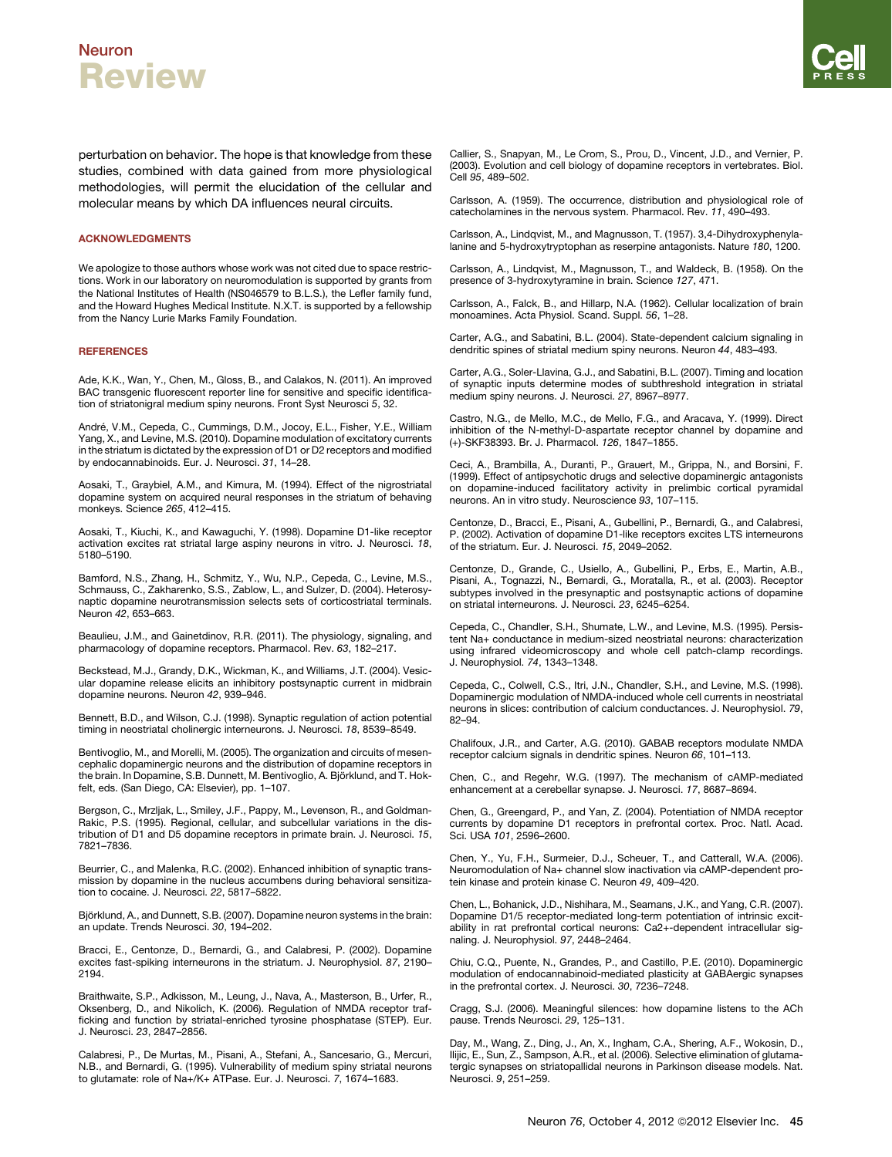<span id="page-12-0"></span>perturbation on behavior. The hope is that knowledge from these studies, combined with data gained from more physiological methodologies, will permit the elucidation of the cellular and molecular means by which DA influences neural circuits.

#### ACKNOWLEDGMENTS

We apologize to those authors whose work was not cited due to space restrictions. Work in our laboratory on neuromodulation is supported by grants from the National Institutes of Health (NS046579 to B.L.S.), the Lefler family fund, and the Howard Hughes Medical Institute. N.X.T. is supported by a fellowship from the Nancy Lurie Marks Family Foundation.

#### **REFERENCES**

Ade, K.K., Wan, Y., Chen, M., Gloss, B., and Calakos, N. (2011). An improved BAC transgenic fluorescent reporter line for sensitive and specific identification of striatonigral medium spiny neurons. Front Syst Neurosci *5*, 32.

André, V.M., Cepeda, C., Cummings, D.M., Jocoy, E.L., Fisher, Y.E., William Yang, X., and Levine, M.S. (2010). Dopamine modulation of excitatory currents in the striatum is dictated by the expression of D1 or D2 receptors and modified by endocannabinoids. Eur. J. Neurosci. *31*, 14–28.

Aosaki, T., Graybiel, A.M., and Kimura, M. (1994). Effect of the nigrostriatal dopamine system on acquired neural responses in the striatum of behaving monkeys. Science *265*, 412–415.

Aosaki, T., Kiuchi, K., and Kawaguchi, Y. (1998). Dopamine D1-like receptor activation excites rat striatal large aspiny neurons in vitro. J. Neurosci. *18*, 5180–5190.

Bamford, N.S., Zhang, H., Schmitz, Y., Wu, N.P., Cepeda, C., Levine, M.S., Schmauss, C., Zakharenko, S.S., Zablow, L., and Sulzer, D. (2004). Heterosynaptic dopamine neurotransmission selects sets of corticostriatal terminals. Neuron *42*, 653–663.

Beaulieu, J.M., and Gainetdinov, R.R. (2011). The physiology, signaling, and pharmacology of dopamine receptors. Pharmacol. Rev. *63*, 182–217.

Beckstead, M.J., Grandy, D.K., Wickman, K., and Williams, J.T. (2004). Vesicular dopamine release elicits an inhibitory postsynaptic current in midbrain dopamine neurons. Neuron *42*, 939–946.

Bennett, B.D., and Wilson, C.J. (1998). Synaptic regulation of action potential timing in neostriatal cholinergic interneurons. J. Neurosci. *18*, 8539–8549.

Bentivoglio, M., and Morelli, M. (2005). The organization and circuits of mesencephalic dopaminergic neurons and the distribution of dopamine receptors in the brain. In Dopamine, S.B. Dunnett, M. Bentivoglio, A. Björklund, and T. Hokfelt, eds. (San Diego, CA: Elsevier), pp. 1–107.

Bergson, C., Mrzljak, L., Smiley, J.F., Pappy, M., Levenson, R., and Goldman-Rakic, P.S. (1995). Regional, cellular, and subcellular variations in the distribution of D1 and D5 dopamine receptors in primate brain. J. Neurosci. *15*, 7821–7836.

Beurrier, C., and Malenka, R.C. (2002). Enhanced inhibition of synaptic transmission by dopamine in the nucleus accumbens during behavioral sensitization to cocaine. J. Neurosci. *22*, 5817–5822.

Björklund, A., and Dunnett, S.B. (2007). Dopamine neuron systems in the brain: an update. Trends Neurosci. *30*, 194–202.

Bracci, E., Centonze, D., Bernardi, G., and Calabresi, P. (2002). Dopamine excites fast-spiking interneurons in the striatum. J. Neurophysiol. *87*, 2190– 2194.

Braithwaite, S.P., Adkisson, M., Leung, J., Nava, A., Masterson, B., Urfer, R., Oksenberg, D., and Nikolich, K. (2006). Regulation of NMDA receptor trafficking and function by striatal-enriched tyrosine phosphatase (STEP). Eur. J. Neurosci. *23*, 2847–2856.

Calabresi, P., De Murtas, M., Pisani, A., Stefani, A., Sancesario, G., Mercuri, N.B., and Bernardi, G. (1995). Vulnerability of medium spiny striatal neurons to glutamate: role of Na+/K+ ATPase. Eur. J. Neurosci. *7*, 1674–1683.

Callier, S., Snapyan, M., Le Crom, S., Prou, D., Vincent, J.D., and Vernier, P. (2003). Evolution and cell biology of dopamine receptors in vertebrates. Biol. Cell *95*, 489–502.

Carlsson, A. (1959). The occurrence, distribution and physiological role of catecholamines in the nervous system. Pharmacol. Rev. *11*, 490–493.

Carlsson, A., Lindqvist, M., and Magnusson, T. (1957). 3,4-Dihydroxyphenylalanine and 5-hydroxytryptophan as reserpine antagonists. Nature *180*, 1200.

Carlsson, A., Lindqvist, M., Magnusson, T., and Waldeck, B. (1958). On the presence of 3-hydroxytyramine in brain. Science *127*, 471.

Carlsson, A., Falck, B., and Hillarp, N.A. (1962). Cellular localization of brain monoamines. Acta Physiol. Scand. Suppl. *56*, 1–28.

Carter, A.G., and Sabatini, B.L. (2004). State-dependent calcium signaling in dendritic spines of striatal medium spiny neurons. Neuron *44*, 483–493.

Carter, A.G., Soler-Llavina, G.J., and Sabatini, B.L. (2007). Timing and location of synaptic inputs determine modes of subthreshold integration in striatal medium spiny neurons. J. Neurosci. *27*, 8967–8977.

Castro, N.G., de Mello, M.C., de Mello, F.G., and Aracava, Y. (1999). Direct inhibition of the N-methyl-D-aspartate receptor channel by dopamine and (+)-SKF38393. Br. J. Pharmacol. *126*, 1847–1855.

Ceci, A., Brambilla, A., Duranti, P., Grauert, M., Grippa, N., and Borsini, F. (1999). Effect of antipsychotic drugs and selective dopaminergic antagonists on dopamine-induced facilitatory activity in prelimbic cortical pyramidal neurons. An in vitro study. Neuroscience *93*, 107–115.

Centonze, D., Bracci, E., Pisani, A., Gubellini, P., Bernardi, G., and Calabresi, P. (2002). Activation of dopamine D1-like receptors excites LTS interneurons of the striatum. Eur. J. Neurosci. *15*, 2049–2052.

Centonze, D., Grande, C., Usiello, A., Gubellini, P., Erbs, E., Martin, A.B., Pisani, A., Tognazzi, N., Bernardi, G., Moratalla, R., et al. (2003). Receptor subtypes involved in the presynaptic and postsynaptic actions of dopamine on striatal interneurons. J. Neurosci. *23*, 6245–6254.

Cepeda, C., Chandler, S.H., Shumate, L.W., and Levine, M.S. (1995). Persistent Na+ conductance in medium-sized neostriatal neurons: characterization using infrared videomicroscopy and whole cell patch-clamp recordings. J. Neurophysiol. *74*, 1343–1348.

Cepeda, C., Colwell, C.S., Itri, J.N., Chandler, S.H., and Levine, M.S. (1998). Dopaminergic modulation of NMDA-induced whole cell currents in neostriatal neurons in slices: contribution of calcium conductances. J. Neurophysiol. *79*, 82–94.

Chalifoux, J.R., and Carter, A.G. (2010). GABAB receptors modulate NMDA receptor calcium signals in dendritic spines. Neuron *66*, 101–113.

Chen, C., and Regehr, W.G. (1997). The mechanism of cAMP-mediated enhancement at a cerebellar synapse. J. Neurosci. *17*, 8687–8694.

Chen, G., Greengard, P., and Yan, Z. (2004). Potentiation of NMDA receptor currents by dopamine D1 receptors in prefrontal cortex. Proc. Natl. Acad. Sci. USA *101*, 2596–2600.

Chen, Y., Yu, F.H., Surmeier, D.J., Scheuer, T., and Catterall, W.A. (2006). Neuromodulation of Na+ channel slow inactivation via cAMP-dependent protein kinase and protein kinase C. Neuron *49*, 409–420.

Chen, L., Bohanick, J.D., Nishihara, M., Seamans, J.K., and Yang, C.R. (2007). Dopamine D1/5 receptor-mediated long-term potentiation of intrinsic excitability in rat prefrontal cortical neurons: Ca2+-dependent intracellular signaling. J. Neurophysiol. *97*, 2448–2464.

Chiu, C.Q., Puente, N., Grandes, P., and Castillo, P.E. (2010). Dopaminergic modulation of endocannabinoid-mediated plasticity at GABAergic synapses in the prefrontal cortex. J. Neurosci. *30*, 7236–7248.

Cragg, S.J. (2006). Meaningful silences: how dopamine listens to the ACh pause. Trends Neurosci. *29*, 125–131.

Day, M., Wang, Z., Ding, J., An, X., Ingham, C.A., Shering, A.F., Wokosin, D., Ilijic, E., Sun, Z., Sampson, A.R., et al. (2006). Selective elimination of glutamatergic synapses on striatopallidal neurons in Parkinson disease models. Nat. Neurosci. *9*, 251–259.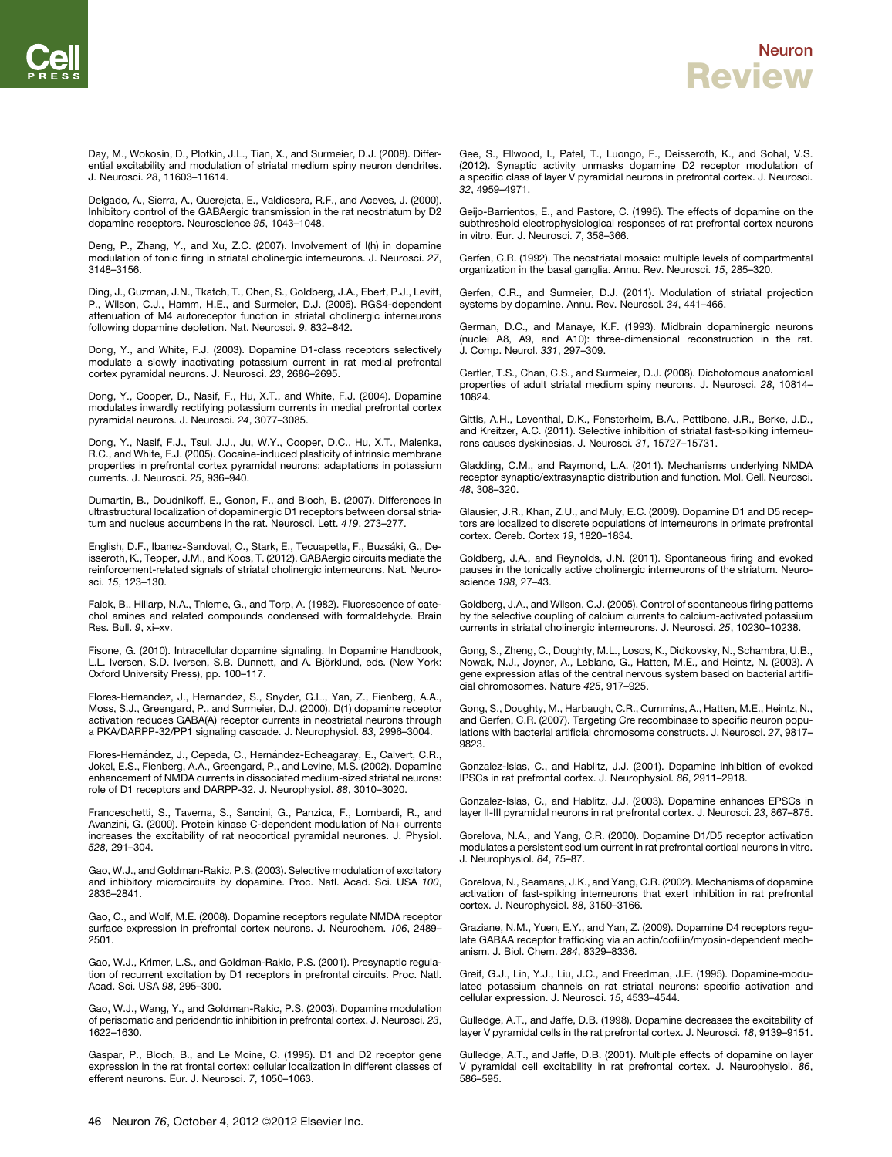<span id="page-13-0"></span>Day, M., Wokosin, D., Plotkin, J.L., Tian, X., and Surmeier, D.J. (2008). Differential excitability and modulation of striatal medium spiny neuron dendrites. J. Neurosci. *28*, 11603–11614.

Delgado, A., Sierra, A., Querejeta, E., Valdiosera, R.F., and Aceves, J. (2000). Inhibitory control of the GABAergic transmission in the rat neostriatum by D2 dopamine receptors. Neuroscience *95*, 1043–1048.

Deng, P., Zhang, Y., and Xu, Z.C. (2007). Involvement of I(h) in dopamine modulation of tonic firing in striatal cholinergic interneurons. J. Neurosci. *27*, 3148–3156.

Ding, J., Guzman, J.N., Tkatch, T., Chen, S., Goldberg, J.A., Ebert, P.J., Levitt, P., Wilson, C.J., Hamm, H.E., and Surmeier, D.J. (2006). RGS4-dependent attenuation of M4 autoreceptor function in striatal cholinergic interneurons following dopamine depletion. Nat. Neurosci. *9*, 832–842.

Dong, Y., and White, F.J. (2003). Dopamine D1-class receptors selectively modulate a slowly inactivating potassium current in rat medial prefrontal cortex pyramidal neurons. J. Neurosci. *23*, 2686–2695.

Dong, Y., Cooper, D., Nasif, F., Hu, X.T., and White, F.J. (2004). Dopamine modulates inwardly rectifying potassium currents in medial prefrontal cortex pyramidal neurons. J. Neurosci. *24*, 3077–3085.

Dong, Y., Nasif, F.J., Tsui, J.J., Ju, W.Y., Cooper, D.C., Hu, X.T., Malenka, R.C., and White, F.J. (2005). Cocaine-induced plasticity of intrinsic membrane properties in prefrontal cortex pyramidal neurons: adaptations in potassium currents. J. Neurosci. *25*, 936–940.

Dumartin, B., Doudnikoff, E., Gonon, F., and Bloch, B. (2007). Differences in ultrastructural localization of dopaminergic D1 receptors between dorsal striatum and nucleus accumbens in the rat. Neurosci. Lett. *419*, 273–277.

English, D.F., Ibanez-Sandoval, O., Stark, E., Tecuapetla, F., Buzsáki, G., Deisseroth, K., Tepper, J.M., and Koos, T. (2012). GABAergic circuits mediate the reinforcement-related signals of striatal cholinergic interneurons. Nat. Neurosci. *15*, 123–130.

Falck, B., Hillarp, N.A., Thieme, G., and Torp, A. (1982). Fluorescence of catechol amines and related compounds condensed with formaldehyde. Brain Res. Bull. *9*, xi–xv.

Fisone, G. (2010). Intracellular dopamine signaling. In Dopamine Handbook, L.L. Iversen, S.D. Iversen, S.B. Dunnett, and A. Björklund, eds. (New York: Oxford University Press), pp. 100–117.

Flores-Hernandez, J., Hernandez, S., Snyder, G.L., Yan, Z., Fienberg, A.A., Moss, S.J., Greengard, P., and Surmeier, D.J. (2000). D(1) dopamine receptor activation reduces GABA(A) receptor currents in neostriatal neurons through a PKA/DARPP-32/PP1 signaling cascade. J. Neurophysiol. *83*, 2996–3004.

Flores-Hernández, J., Cepeda, C., Hernández-Echeagaray, E., Calvert, C.R., Jokel, E.S., Fienberg, A.A., Greengard, P., and Levine, M.S. (2002). Dopamine enhancement of NMDA currents in dissociated medium-sized striatal neurons: role of D1 receptors and DARPP-32. J. Neurophysiol. *88*, 3010–3020.

Franceschetti, S., Taverna, S., Sancini, G., Panzica, F., Lombardi, R., and Avanzini, G. (2000). Protein kinase C-dependent modulation of Na+ currents increases the excitability of rat neocortical pyramidal neurones. J. Physiol. *528*, 291–304.

Gao, W.J., and Goldman-Rakic, P.S. (2003). Selective modulation of excitatory and inhibitory microcircuits by dopamine. Proc. Natl. Acad. Sci. USA *100*, 2836–2841.

Gao, C., and Wolf, M.E. (2008). Dopamine receptors regulate NMDA receptor surface expression in prefrontal cortex neurons. J. Neurochem. *106*, 2489– 2501.

Gao, W.J., Krimer, L.S., and Goldman-Rakic, P.S. (2001). Presynaptic regulation of recurrent excitation by D1 receptors in prefrontal circuits. Proc. Natl. Acad. Sci. USA *98*, 295–300.

Gao, W.J., Wang, Y., and Goldman-Rakic, P.S. (2003). Dopamine modulation of perisomatic and peridendritic inhibition in prefrontal cortex. J. Neurosci. *23*, 1622–1630.

Gaspar, P., Bloch, B., and Le Moine, C. (1995). D1 and D2 receptor gene expression in the rat frontal cortex: cellular localization in different classes of efferent neurons. Eur. J. Neurosci. *7*, 1050–1063.

Gee, S., Ellwood, I., Patel, T., Luongo, F., Deisseroth, K., and Sohal, V.S. (2012). Synaptic activity unmasks dopamine D2 receptor modulation of a specific class of layer V pyramidal neurons in prefrontal cortex. J. Neurosci. *32*, 4959–4971.

Geijo-Barrientos, E., and Pastore, C. (1995). The effects of dopamine on the subthreshold electrophysiological responses of rat prefrontal cortex neurons in vitro. Eur. J. Neurosci. *7*, 358–366.

Gerfen, C.R. (1992). The neostriatal mosaic: multiple levels of compartmental organization in the basal ganglia. Annu. Rev. Neurosci. *15*, 285–320.

Gerfen, C.R., and Surmeier, D.J. (2011). Modulation of striatal projection systems by dopamine. Annu. Rev. Neurosci. *34*, 441–466.

German, D.C., and Manaye, K.F. (1993). Midbrain dopaminergic neurons (nuclei A8, A9, and A10): three-dimensional reconstruction in the rat. J. Comp. Neurol. *331*, 297–309.

Gertler, T.S., Chan, C.S., and Surmeier, D.J. (2008). Dichotomous anatomical properties of adult striatal medium spiny neurons. J. Neurosci. *28*, 10814– 10824.

Gittis, A.H., Leventhal, D.K., Fensterheim, B.A., Pettibone, J.R., Berke, J.D., and Kreitzer, A.C. (2011). Selective inhibition of striatal fast-spiking interneurons causes dyskinesias. J. Neurosci. *31*, 15727–15731.

Gladding, C.M., and Raymond, L.A. (2011). Mechanisms underlying NMDA receptor synaptic/extrasynaptic distribution and function. Mol. Cell. Neurosci. *48*, 308–320.

Glausier, J.R., Khan, Z.U., and Muly, E.C. (2009). Dopamine D1 and D5 receptors are localized to discrete populations of interneurons in primate prefrontal cortex. Cereb. Cortex *19*, 1820–1834.

Goldberg, J.A., and Reynolds, J.N. (2011). Spontaneous firing and evoked pauses in the tonically active cholinergic interneurons of the striatum. Neuroscience *198*, 27–43.

Goldberg, J.A., and Wilson, C.J. (2005). Control of spontaneous firing patterns by the selective coupling of calcium currents to calcium-activated potassium currents in striatal cholinergic interneurons. J. Neurosci. *25*, 10230–10238.

Gong, S., Zheng, C., Doughty, M.L., Losos, K., Didkovsky, N., Schambra, U.B., Nowak, N.J., Joyner, A., Leblanc, G., Hatten, M.E., and Heintz, N. (2003). A gene expression atlas of the central nervous system based on bacterial artificial chromosomes. Nature *425*, 917–925.

Gong, S., Doughty, M., Harbaugh, C.R., Cummins, A., Hatten, M.E., Heintz, N., and Gerfen, C.R. (2007). Targeting Cre recombinase to specific neuron populations with bacterial artificial chromosome constructs. J. Neurosci. *27*, 9817– 9823.

Gonzalez-Islas, C., and Hablitz, J.J. (2001). Dopamine inhibition of evoked IPSCs in rat prefrontal cortex. J. Neurophysiol. *86*, 2911–2918.

Gonzalez-Islas, C., and Hablitz, J.J. (2003). Dopamine enhances EPSCs in layer II-III pyramidal neurons in rat prefrontal cortex. J. Neurosci. *23*, 867–875.

Gorelova, N.A., and Yang, C.R. (2000). Dopamine D1/D5 receptor activation modulates a persistent sodium current in rat prefrontal cortical neurons in vitro. J. Neurophysiol. *84*, 75–87.

Gorelova, N., Seamans, J.K., and Yang, C.R. (2002). Mechanisms of dopamine activation of fast-spiking interneurons that exert inhibition in rat prefrontal cortex. J. Neurophysiol. *88*, 3150–3166.

Graziane, N.M., Yuen, E.Y., and Yan, Z. (2009). Dopamine D4 receptors regulate GABAA receptor trafficking via an actin/cofilin/myosin-dependent mechanism. J. Biol. Chem. *284*, 8329–8336.

Greif, G.J., Lin, Y.J., Liu, J.C., and Freedman, J.E. (1995). Dopamine-modulated potassium channels on rat striatal neurons: specific activation and cellular expression. J. Neurosci. *15*, 4533–4544.

Gulledge, A.T., and Jaffe, D.B. (1998). Dopamine decreases the excitability of layer V pyramidal cells in the rat prefrontal cortex. J. Neurosci. *18*, 9139–9151.

Gulledge, A.T., and Jaffe, D.B. (2001). Multiple effects of dopamine on layer V pyramidal cell excitability in rat prefrontal cortex. J. Neurophysiol. *86*, 586–595.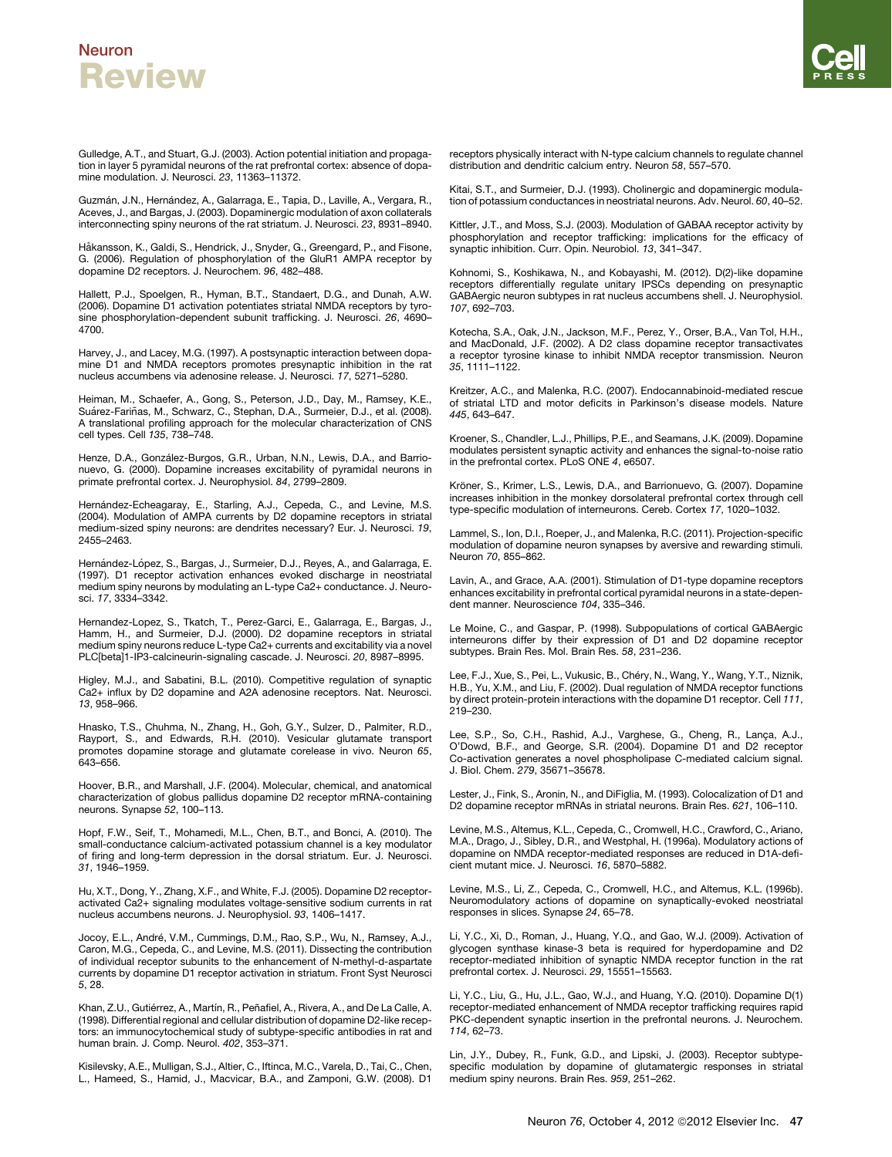<span id="page-14-0"></span>Gulledge, A.T., and Stuart, G.J. (2003). Action potential initiation and propagation in layer 5 pyramidal neurons of the rat prefrontal cortex: absence of dopamine modulation. J. Neurosci. *23*, 11363–11372.

Guzmán, J.N., Hernández, A., Galarraga, E., Tapia, D., Laville, A., Vergara, R., Aceves, J., and Bargas, J. (2003). Dopaminergic modulation of axon collaterals interconnecting spiny neurons of the rat striatum. J. Neurosci. *23*, 8931–8940.

Håkansson, K., Galdi, S., Hendrick, J., Snyder, G., Greengard, P., and Fisone,<br>G. (2006). Regulation of phosphorylation of the GluR1 AMPA receptor by dopamine D2 receptors. J. Neurochem. *96*, 482–488.

Hallett, P.J., Spoelgen, R., Hyman, B.T., Standaert, D.G., and Dunah, A.W. (2006). Dopamine D1 activation potentiates striatal NMDA receptors by tyrosine phosphorylation-dependent subunit trafficking. J. Neurosci. *26*, 4690– 4700.

Harvey, J., and Lacey, M.G. (1997). A postsynaptic interaction between dopamine D1 and NMDA receptors promotes presynaptic inhibition in the rat nucleus accumbens via adenosine release. J. Neurosci. *17*, 5271–5280.

Heiman, M., Schaefer, A., Gong, S., Peterson, J.D., Day, M., Ramsey, K.E. Suárez-Fariñas, M., Schwarz, C., Stephan, D.A., Surmeier, D.J., et al. (2008). A translational profiling approach for the molecular characterization of CNS cell types. Cell *135*, 738–748.

Henze, D.A., González-Burgos, G.R., Urban, N.N., Lewis, D.A., and Barrionuevo, G. (2000). Dopamine increases excitability of pyramidal neurons in primate prefrontal cortex. J. Neurophysiol. *84*, 2799–2809.

Hernández-Echeagaray, E., Starling, A.J., Cepeda, C., and Levine, M.S. (2004). Modulation of AMPA currents by D2 dopamine receptors in striatal medium-sized spiny neurons: are dendrites necessary? Eur. J. Neurosci. *19*, 2455–2463.

Hernández-López, S., Bargas, J., Surmeier, D.J., Reyes, A., and Galarraga, E. (1997). D1 receptor activation enhances evoked discharge in neostriatal medium spiny neurons by modulating an L-type Ca2+ conductance. J. Neurosci. *17*, 3334–3342.

Hernandez-Lopez, S., Tkatch, T., Perez-Garci, E., Galarraga, E., Bargas, J., Hamm, H., and Surmeier, D.J. (2000). D2 dopamine receptors in striatal medium spiny neurons reduce L-type Ca2+ currents and excitability via a novel PLC[beta]1-IP3-calcineurin-signaling cascade. J. Neurosci. *20*, 8987–8995.

Higley, M.J., and Sabatini, B.L. (2010). Competitive regulation of synaptic Ca2+ influx by D2 dopamine and A2A adenosine receptors. Nat. Neurosci. *13*, 958–966.

Hnasko, T.S., Chuhma, N., Zhang, H., Goh, G.Y., Sulzer, D., Palmiter, R.D., Rayport, S., and Edwards, R.H. (2010). Vesicular glutamate transport promotes dopamine storage and glutamate corelease in vivo. Neuron *65*, 643–656.

Hoover, B.R., and Marshall, J.F. (2004). Molecular, chemical, and anatomical characterization of globus pallidus dopamine D2 receptor mRNA-containing neurons. Synapse *52*, 100–113.

Hopf, F.W., Seif, T., Mohamedi, M.L., Chen, B.T., and Bonci, A. (2010). The small-conductance calcium-activated potassium channel is a key modulator of firing and long-term depression in the dorsal striatum. Eur. J. Neurosci. *31*, 1946–1959.

Hu, X.T., Dong, Y., Zhang, X.F., and White, F.J. (2005). Dopamine D2 receptoractivated Ca2+ signaling modulates voltage-sensitive sodium currents in rat nucleus accumbens neurons. J. Neurophysiol. *93*, 1406–1417.

Jocoy, E.L., André, V.M., Cummings, D.M., Rao, S.P., Wu, N., Ramsey, A.J., Caron, M.G., Cepeda, C., and Levine, M.S. (2011). Dissecting the contribution of individual receptor subunits to the enhancement of N-methyl-d-aspartate currents by dopamine D1 receptor activation in striatum. Front Syst Neurosci *5*, 28.

Khan, Z.U., Gutiérrez, A., Martín, R., Peñafiel, A., Rivera, A., and De La Calle, A. (1998). Differential regional and cellular distribution of dopamine D2-like receptors: an immunocytochemical study of subtype-specific antibodies in rat and human brain. J. Comp. Neurol. *402*, 353–371.

Kisilevsky, A.E., Mulligan, S.J., Altier, C., Iftinca, M.C., Varela, D., Tai, C., Chen, L., Hameed, S., Hamid, J., Macvicar, B.A., and Zamponi, G.W. (2008). D1 receptors physically interact with N-type calcium channels to regulate channel distribution and dendritic calcium entry. Neuron *58*, 557–570.

Kitai, S.T., and Surmeier, D.J. (1993). Cholinergic and dopaminergic modulation of potassium conductances in neostriatal neurons. Adv. Neurol. *60*, 40–52.

Kittler, J.T., and Moss, S.J. (2003). Modulation of GABAA receptor activity by phosphorylation and receptor trafficking: implications for the efficacy of synaptic inhibition. Curr. Opin. Neurobiol. *13*, 341–347.

Kohnomi, S., Koshikawa, N., and Kobayashi, M. (2012). D(2)-like dopamine receptors differentially regulate unitary IPSCs depending on presynaptic GABAergic neuron subtypes in rat nucleus accumbens shell. J. Neurophysiol. *107*, 692–703.

Kotecha, S.A., Oak, J.N., Jackson, M.F., Perez, Y., Orser, B.A., Van Tol, H.H., and MacDonald, J.F. (2002). A D2 class dopamine receptor transactivates a receptor tyrosine kinase to inhibit NMDA receptor transmission. Neuron *35*, 1111–1122.

Kreitzer, A.C., and Malenka, R.C. (2007). Endocannabinoid-mediated rescue of striatal LTD and motor deficits in Parkinson's disease models. Nature *445*, 643–647.

Kroener, S., Chandler, L.J., Phillips, P.E., and Seamans, J.K. (2009). Dopamine modulates persistent synaptic activity and enhances the signal-to-noise ratio in the prefrontal cortex. PLoS ONE *4*, e6507.

Kröner, S., Krimer, L.S., Lewis, D.A., and Barrionuevo, G. (2007). Dopamine increases inhibition in the monkey dorsolateral prefrontal cortex through cell type-specific modulation of interneurons. Cereb. Cortex *17*, 1020–1032.

Lammel, S., Ion, D.I., Roeper, J., and Malenka, R.C. (2011). Projection-specific modulation of dopamine neuron synapses by aversive and rewarding stimuli. Neuron *70*, 855–862.

Lavin, A., and Grace, A.A. (2001). Stimulation of D1-type dopamine receptors enhances excitability in prefrontal cortical pyramidal neurons in a state-dependent manner. Neuroscience *104*, 335–346.

Le Moine, C., and Gaspar, P. (1998). Subpopulations of cortical GABAergic interneurons differ by their expression of D1 and D2 dopamine receptor subtypes. Brain Res. Mol. Brain Res. *58*, 231–236.

Lee, F.J., Xue, S., Pei, L., Vukusic, B., Chéry, N., Wang, Y., Wang, Y.T., Niznik, H.B., Yu, X.M., and Liu, F. (2002). Dual regulation of NMDA receptor functions by direct protein-protein interactions with the dopamine D1 receptor. Cell *111*, 219–230.

Lee, S.P., So, C.H., Rashid, A.J., Varghese, G., Cheng, R., Lança, A.J.,<br>O'Dowd, B.F., and George, S.R. (2004). Dopamine D1 and D2 receptor Co-activation generates a novel phospholipase C-mediated calcium signal. J. Biol. Chem. *279*, 35671–35678.

Lester, J., Fink, S., Aronin, N., and DiFiglia, M. (1993). Colocalization of D1 and D2 dopamine receptor mRNAs in striatal neurons. Brain Res. *621*, 106–110.

Levine, M.S., Altemus, K.L., Cepeda, C., Cromwell, H.C., Crawford, C., Ariano, M.A., Drago, J., Sibley, D.R., and Westphal, H. (1996a). Modulatory actions of dopamine on NMDA receptor-mediated responses are reduced in D1A-deficient mutant mice. J. Neurosci. *16*, 5870–5882.

Levine, M.S., Li, Z., Cepeda, C., Cromwell, H.C., and Altemus, K.L. (1996b). Neuromodulatory actions of dopamine on synaptically-evoked neostriatal responses in slices. Synapse *24*, 65–78.

Li, Y.C., Xi, D., Roman, J., Huang, Y.Q., and Gao, W.J. (2009). Activation of glycogen synthase kinase-3 beta is required for hyperdopamine and D2 receptor-mediated inhibition of synaptic NMDA receptor function in the rat prefrontal cortex. J. Neurosci. *29*, 15551–15563.

Li, Y.C., Liu, G., Hu, J.L., Gao, W.J., and Huang, Y.Q. (2010). Dopamine D(1) receptor-mediated enhancement of NMDA receptor trafficking requires rapid PKC-dependent synaptic insertion in the prefrontal neurons. J. Neurochem. *114*, 62–73.

Lin, J.Y., Dubey, R., Funk, G.D., and Lipski, J. (2003). Receptor subtypespecific modulation by dopamine of glutamatergic responses in striatal medium spiny neurons. Brain Res. *959*, 251–262.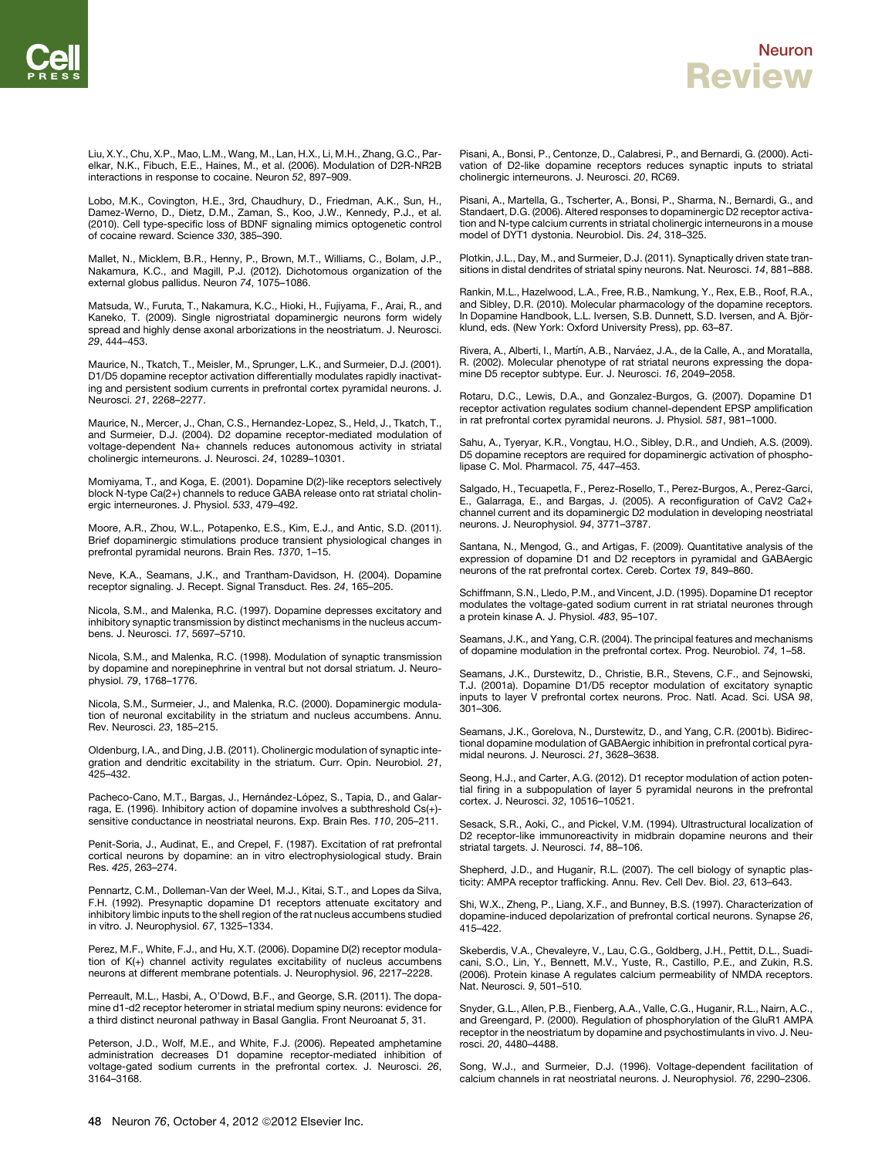<span id="page-15-0"></span>Liu, X.Y., Chu, X.P., Mao, L.M., Wang, M., Lan, H.X., Li, M.H., Zhang, G.C., Parelkar, N.K., Fibuch, E.E., Haines, M., et al. (2006). Modulation of D2R-NR2B interactions in response to cocaine. Neuron *52*, 897–909.

Lobo, M.K., Covington, H.E., 3rd, Chaudhury, D., Friedman, A.K., Sun, H., Damez-Werno, D., Dietz, D.M., Zaman, S., Koo, J.W., Kennedy, P.J., et al. (2010). Cell type-specific loss of BDNF signaling mimics optogenetic control of cocaine reward. Science *330*, 385–390.

Mallet, N., Micklem, B.R., Henny, P., Brown, M.T., Williams, C., Bolam, J.P., Nakamura, K.C., and Magill, P.J. (2012). Dichotomous organization of the external globus pallidus. Neuron *74*, 1075–1086.

Matsuda, W., Furuta, T., Nakamura, K.C., Hioki, H., Fujiyama, F., Arai, R., and Kaneko, T. (2009). Single nigrostriatal dopaminergic neurons form widely spread and highly dense axonal arborizations in the neostriatum. J. Neurosci. *29*, 444–453.

Maurice, N., Tkatch, T., Meisler, M., Sprunger, L.K., and Surmeier, D.J. (2001). D1/D5 dopamine receptor activation differentially modulates rapidly inactivating and persistent sodium currents in prefrontal cortex pyramidal neurons. J. Neurosci. *21*, 2268–2277.

Maurice, N., Mercer, J., Chan, C.S., Hernandez-Lopez, S., Held, J., Tkatch, T., and Surmeier, D.J. (2004). D2 dopamine receptor-mediated modulation of voltage-dependent Na+ channels reduces autonomous activity in striatal cholinergic interneurons. J. Neurosci. *24*, 10289–10301.

Momiyama, T., and Koga, E. (2001). Dopamine D(2)-like receptors selectively block N-type Ca(2+) channels to reduce GABA release onto rat striatal cholinergic interneurones. J. Physiol. *533*, 479–492.

Moore, A.R., Zhou, W.L., Potapenko, E.S., Kim, E.J., and Antic, S.D. (2011). Brief dopaminergic stimulations produce transient physiological changes in prefrontal pyramidal neurons. Brain Res. *1370*, 1–15.

Neve, K.A., Seamans, J.K., and Trantham-Davidson, H. (2004). Dopamine receptor signaling. J. Recept. Signal Transduct. Res. *24*, 165–205.

Nicola, S.M., and Malenka, R.C. (1997). Dopamine depresses excitatory and inhibitory synaptic transmission by distinct mechanisms in the nucleus accumbens. J. Neurosci. *17*, 5697–5710.

Nicola, S.M., and Malenka, R.C. (1998). Modulation of synaptic transmission by dopamine and norepinephrine in ventral but not dorsal striatum. J. Neurophysiol. *79*, 1768–1776.

Nicola, S.M., Surmeier, J., and Malenka, R.C. (2000). Dopaminergic modulation of neuronal excitability in the striatum and nucleus accumbens. Annu. Rev. Neurosci. *23*, 185–215.

Oldenburg, I.A., and Ding, J.B. (2011). Cholinergic modulation of synaptic integration and dendritic excitability in the striatum. Curr. Opin. Neurobiol. *21*, 425–432.

Pacheco-Cano, M.T., Bargas, J., Hernández-López, S., Tapia, D., and Galarraga, E. (1996). Inhibitory action of dopamine involves a subthreshold Cs(+) sensitive conductance in neostriatal neurons. Exp. Brain Res. *110*, 205–211.

Penit-Soria, J., Audinat, E., and Crepel, F. (1987). Excitation of rat prefrontal cortical neurons by dopamine: an in vitro electrophysiological study. Brain Res. *425*, 263–274.

Pennartz, C.M., Dolleman-Van der Weel, M.J., Kitai, S.T., and Lopes da Silva, F.H. (1992). Presynaptic dopamine D1 receptors attenuate excitatory and inhibitory limbic inputs to the shell region of the rat nucleus accumbens studied in vitro. J. Neurophysiol. *67*, 1325–1334.

Perez, M.F., White, F.J., and Hu, X.T. (2006). Dopamine D(2) receptor modulation of K(+) channel activity regulates excitability of nucleus accumbens neurons at different membrane potentials. J. Neurophysiol. *96*, 2217–2228.

Perreault, M.L., Hasbi, A., O'Dowd, B.F., and George, S.R. (2011). The dopamine d1-d2 receptor heteromer in striatal medium spiny neurons: evidence for a third distinct neuronal pathway in Basal Ganglia. Front Neuroanat *5*, 31.

Peterson, J.D., Wolf, M.E., and White, F.J. (2006). Repeated amphetamine administration decreases D1 dopamine receptor-mediated inhibition of voltage-gated sodium currents in the prefrontal cortex. J. Neurosci. *26*, 3164–3168.

Pisani, A., Bonsi, P., Centonze, D., Calabresi, P., and Bernardi, G. (2000). Activation of D2-like dopamine receptors reduces synaptic inputs to striatal cholinergic interneurons. J. Neurosci. *20*, RC69.

Pisani, A., Martella, G., Tscherter, A., Bonsi, P., Sharma, N., Bernardi, G., and Standaert, D.G. (2006). Altered responses to dopaminergic D2 receptor activation and N-type calcium currents in striatal cholinergic interneurons in a mouse model of DYT1 dystonia. Neurobiol. Dis. *24*, 318–325.

Plotkin, J.L., Day, M., and Surmeier, D.J. (2011). Synaptically driven state transitions in distal dendrites of striatal spiny neurons. Nat. Neurosci. *14*, 881–888.

Rankin, M.L., Hazelwood, L.A., Free, R.B., Namkung, Y., Rex, E.B., Roof, R.A., and Sibley, D.R. (2010). Molecular pharmacology of the dopamine receptors. In Dopamine Handbook, L.L. Iversen, S.B. Dunnett, S.D. Iversen, and A. Björklund, eds. (New York: Oxford University Press), pp. 63–87.

Rivera, A., Alberti, I., Martín, A.B., Narváez, J.A., de la Calle, A., and Moratalla, R. (2002). Molecular phenotype of rat striatal neurons expressing the dopamine D5 receptor subtype. Eur. J. Neurosci. *16*, 2049–2058.

Rotaru, D.C., Lewis, D.A., and Gonzalez-Burgos, G. (2007). Dopamine D1 receptor activation regulates sodium channel-dependent EPSP amplification in rat prefrontal cortex pyramidal neurons. J. Physiol. *581*, 981–1000.

Sahu, A., Tyeryar, K.R., Vongtau, H.O., Sibley, D.R., and Undieh, A.S. (2009). D5 dopamine receptors are required for dopaminergic activation of phospholipase C. Mol. Pharmacol. *75*, 447–453.

Salgado, H., Tecuapetla, F., Perez-Rosello, T., Perez-Burgos, A., Perez-Garci, E., Galarraga, E., and Bargas, J. (2005). A reconfiguration of CaV2 Ca2+ channel current and its dopaminergic D2 modulation in developing neostriatal neurons. J. Neurophysiol. *94*, 3771–3787.

Santana, N., Mengod, G., and Artigas, F. (2009). Quantitative analysis of the expression of dopamine D1 and D2 receptors in pyramidal and GABAergic neurons of the rat prefrontal cortex. Cereb. Cortex *19*, 849–860.

Schiffmann, S.N., Lledo, P.M., and Vincent, J.D. (1995). Dopamine D1 receptor modulates the voltage-gated sodium current in rat striatal neurones through a protein kinase A. J. Physiol. *483*, 95–107.

Seamans, J.K., and Yang, C.R. (2004). The principal features and mechanisms of dopamine modulation in the prefrontal cortex. Prog. Neurobiol. *74*, 1–58.

Seamans, J.K., Durstewitz, D., Christie, B.R., Stevens, C.F., and Sejnowski, T.J. (2001a). Dopamine D1/D5 receptor modulation of excitatory synaptic inputs to layer V prefrontal cortex neurons. Proc. Natl. Acad. Sci. USA *98*, 301–306.

Seamans, J.K., Gorelova, N., Durstewitz, D., and Yang, C.R. (2001b). Bidirectional dopamine modulation of GABAergic inhibition in prefrontal cortical pyramidal neurons. J. Neurosci. *21*, 3628–3638.

Seong, H.J., and Carter, A.G. (2012). D1 receptor modulation of action potential firing in a subpopulation of layer 5 pyramidal neurons in the prefrontal cortex. J. Neurosci. *32*, 10516–10521.

Sesack, S.R., Aoki, C., and Pickel, V.M. (1994). Ultrastructural localization of D2 receptor-like immunoreactivity in midbrain dopamine neurons and their striatal targets. J. Neurosci. *14*, 88–106.

Shepherd, J.D., and Huganir, R.L. (2007). The cell biology of synaptic plasticity: AMPA receptor trafficking. Annu. Rev. Cell Dev. Biol. *23*, 613–643.

Shi, W.X., Zheng, P., Liang, X.F., and Bunney, B.S. (1997). Characterization of dopamine-induced depolarization of prefrontal cortical neurons. Synapse *26*, 415–422.

Skeberdis, V.A., Chevaleyre, V., Lau, C.G., Goldberg, J.H., Pettit, D.L., Suadicani, S.O., Lin, Y., Bennett, M.V., Yuste, R., Castillo, P.E., and Zukin, R.S. (2006). Protein kinase A regulates calcium permeability of NMDA receptors. Nat. Neurosci. *9*, 501–510.

Snyder, G.L., Allen, P.B., Fienberg, A.A., Valle, C.G., Huganir, R.L., Nairn, A.C. and Greengard, P. (2000). Regulation of phosphorylation of the GluR1 AMPA receptor in the neostriatum by dopamine and psychostimulants in vivo. J. Neurosci. *20*, 4480–4488.

Song, W.J., and Surmeier, D.J. (1996). Voltage-dependent facilitation of calcium channels in rat neostriatal neurons. J. Neurophysiol. *76*, 2290–2306.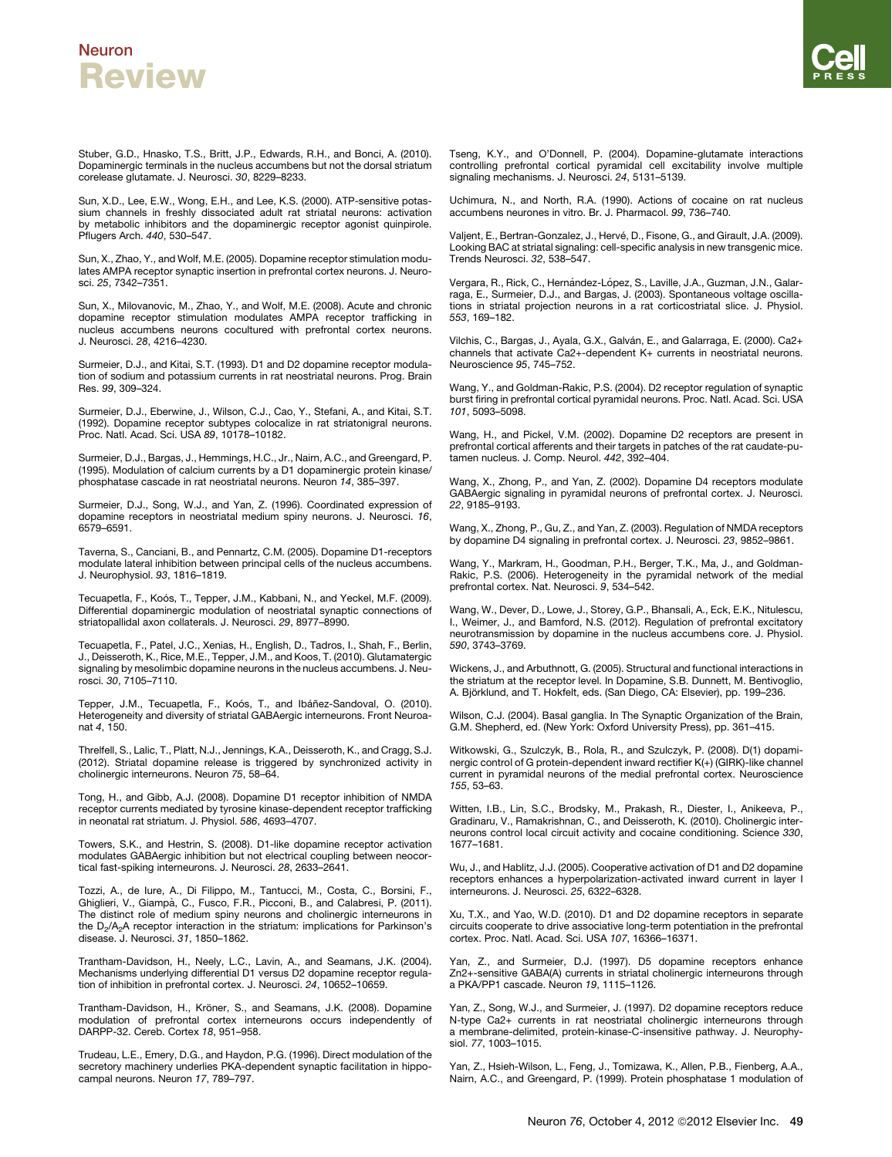<span id="page-16-0"></span>Stuber, G.D., Hnasko, T.S., Britt, J.P., Edwards, R.H., and Bonci, A. (2010). Dopaminergic terminals in the nucleus accumbens but not the dorsal striatum corelease glutamate. J. Neurosci. *30*, 8229–8233.

Sun, X.D., Lee, E.W., Wong, E.H., and Lee, K.S. (2000). ATP-sensitive potassium channels in freshly dissociated adult rat striatal neurons: activation by metabolic inhibitors and the dopaminergic receptor agonist quinpirole. Pflugers Arch. *440*, 530–547.

Sun, X., Zhao, Y., and Wolf, M.E. (2005). Dopamine receptor stimulation modulates AMPA receptor synaptic insertion in prefrontal cortex neurons. J. Neurosci. *25*, 7342–7351.

Sun, X., Milovanovic, M., Zhao, Y., and Wolf, M.E. (2008). Acute and chronic dopamine receptor stimulation modulates AMPA receptor trafficking in nucleus accumbens neurons cocultured with prefrontal cortex neurons. J. Neurosci. *28*, 4216–4230.

Surmeier, D.J., and Kitai, S.T. (1993). D1 and D2 dopamine receptor modulation of sodium and potassium currents in rat neostriatal neurons. Prog. Brain Res. *99*, 309–324.

Surmeier, D.J., Eberwine, J., Wilson, C.J., Cao, Y., Stefani, A., and Kitai, S.T. (1992). Dopamine receptor subtypes colocalize in rat striatonigral neurons. Proc. Natl. Acad. Sci. USA *89*, 10178–10182.

Surmeier, D.J., Bargas, J., Hemmings, H.C., Jr., Nairn, A.C., and Greengard, P. (1995). Modulation of calcium currents by a D1 dopaminergic protein kinase/ phosphatase cascade in rat neostriatal neurons. Neuron *14*, 385–397.

Surmeier, D.J., Song, W.J., and Yan, Z. (1996). Coordinated expression of dopamine receptors in neostriatal medium spiny neurons. J. Neurosci. *16*, 6579–6591.

Taverna, S., Canciani, B., and Pennartz, C.M. (2005). Dopamine D1-receptors modulate lateral inhibition between principal cells of the nucleus accumbens. J. Neurophysiol. *93*, 1816–1819.

Tecuapetla, F., Koós, T., Tepper, J.M., Kabbani, N., and Yeckel, M.F. (2009). Differential dopaminergic modulation of neostriatal synaptic connections of striatopallidal axon collaterals. J. Neurosci. *29*, 8977–8990.

Tecuapetla, F., Patel, J.C., Xenias, H., English, D., Tadros, I., Shah, F., Berlin, J., Deisseroth, K., Rice, M.E., Tepper, J.M., and Koos, T. (2010). Glutamatergic signaling by mesolimbic dopamine neurons in the nucleus accumbens. J. Neurosci. *30*, 7105–7110.

Tepper, J.M., Tecuapetla, F., Koós, T., and Ibáñez-Sandoval, O. (2010). Heterogeneity and diversity of striatal GABAergic interneurons. Front Neuroanat *4*, 150.

Threlfell, S., Lalic, T., Platt, N.J., Jennings, K.A., Deisseroth, K., and Cragg, S.J. (2012). Striatal dopamine release is triggered by synchronized activity in cholinergic interneurons. Neuron *75*, 58–64.

Tong, H., and Gibb, A.J. (2008). Dopamine D1 receptor inhibition of NMDA receptor currents mediated by tyrosine kinase-dependent receptor trafficking in neonatal rat striatum. J. Physiol. *586*, 4693–4707.

Towers, S.K., and Hestrin, S. (2008). D1-like dopamine receptor activation modulates GABAergic inhibition but not electrical coupling between neocortical fast-spiking interneurons. J. Neurosci. *28*, 2633–2641.

Tozzi, A., de Iure, A., Di Filippo, M., Tantucci, M., Costa, C., Borsini, F., Ghiglieri, V., Giampà, C., Fusco, F.R., Picconi, B., and Calabresi, P. (2011). The distinct role of medium spiny neurons and cholinergic interneurons in<br>the D<sub>2</sub>/A<sub>2</sub>A receptor interaction in the striatum: implications for Parkinson's disease. J. Neurosci. *31*, 1850–1862.

Trantham-Davidson, H., Neely, L.C., Lavin, A., and Seamans, J.K. (2004). Mechanisms underlying differential D1 versus D2 dopamine receptor regulation of inhibition in prefrontal cortex. J. Neurosci. *24*, 10652–10659.

Trantham-Davidson, H., Kröner, S., and Seamans, J.K. (2008). Dopamine modulation of prefrontal cortex interneurons occurs independently of DARPP-32. Cereb. Cortex *18*, 951–958.

Trudeau, L.E., Emery, D.G., and Haydon, P.G. (1996). Direct modulation of the secretory machinery underlies PKA-dependent synaptic facilitation in hippocampal neurons. Neuron *17*, 789–797.

Tseng, K.Y., and O'Donnell, P. (2004). Dopamine-glutamate interactions controlling prefrontal cortical pyramidal cell excitability involve multiple signaling mechanisms. J. Neurosci. *24*, 5131–5139.

Uchimura, N., and North, R.A. (1990). Actions of cocaine on rat nucleus accumbens neurones in vitro. Br. J. Pharmacol. *99*, 736–740.

Valjent, E., Bertran-Gonzalez, J., Hervé, D., Fisone, G., and Girault, J.A. (2009). Looking BAC at striatal signaling: cell-specific analysis in new transgenic mice. Trends Neurosci. *32*, 538–547.

Vergara, R., Rick, C., Hernández-López, S., Laville, J.A., Guzman, J.N., Galarraga, E., Surmeier, D.J., and Bargas, J. (2003). Spontaneous voltage oscillations in striatal projection neurons in a rat corticostriatal slice. J. Physiol. *553*, 169–182.

Vilchis, C., Bargas, J., Ayala, G.X., Galván, E., and Galarraga, E. (2000). Ca2+ channels that activate Ca2+-dependent K+ currents in neostriatal neurons. Neuroscience *95*, 745–752.

Wang, Y., and Goldman-Rakic, P.S. (2004). D2 receptor regulation of synaptic burst firing in prefrontal cortical pyramidal neurons. Proc. Natl. Acad. Sci. USA *101*, 5093–5098.

Wang, H., and Pickel, V.M. (2002). Dopamine D2 receptors are present in prefrontal cortical afferents and their targets in patches of the rat caudate-putamen nucleus. J. Comp. Neurol. *442*, 392–404.

Wang, X., Zhong, P., and Yan, Z. (2002). Dopamine D4 receptors modulate GABAergic signaling in pyramidal neurons of prefrontal cortex. J. Neurosci. *22*, 9185–9193.

Wang, X., Zhong, P., Gu, Z., and Yan, Z. (2003). Regulation of NMDA receptors by dopamine D4 signaling in prefrontal cortex. J. Neurosci. *23*, 9852–9861.

Wang, Y., Markram, H., Goodman, P.H., Berger, T.K., Ma, J., and Goldman-Rakic, P.S. (2006). Heterogeneity in the pyramidal network of the medial prefrontal cortex. Nat. Neurosci. *9*, 534–542.

Wang, W., Dever, D., Lowe, J., Storey, G.P., Bhansali, A., Eck, E.K., Nitulescu, I., Weimer, J., and Bamford, N.S. (2012). Regulation of prefrontal excitatory neurotransmission by dopamine in the nucleus accumbens core. J. Physiol. *590*, 3743–3769.

Wickens, J., and Arbuthnott, G. (2005). Structural and functional interactions in the striatum at the receptor level. In Dopamine, S.B. Dunnett, M. Bentivoglio, A. Björklund, and T. Hokfelt, eds. (San Diego, CA: Elsevier), pp. 199–236.

Wilson, C.J. (2004). Basal ganglia. In The Synaptic Organization of the Brain, G.M. Shepherd, ed. (New York: Oxford University Press), pp. 361–415.

Witkowski, G., Szulczyk, B., Rola, R., and Szulczyk, P. (2008). D(1) dopaminergic control of G protein-dependent inward rectifier K(+) (GIRK)-like channel current in pyramidal neurons of the medial prefrontal cortex. Neuroscience *155*, 53–63.

Witten, I.B., Lin, S.C., Brodsky, M., Prakash, R., Diester, I., Anikeeva, P., Gradinaru, V., Ramakrishnan, C., and Deisseroth, K. (2010). Cholinergic interneurons control local circuit activity and cocaine conditioning. Science *330*, 1677–1681.

Wu, J., and Hablitz, J.J. (2005). Cooperative activation of D1 and D2 dopamine receptors enhances a hyperpolarization-activated inward current in layer I interneurons. J. Neurosci. *25*, 6322–6328.

Xu, T.X., and Yao, W.D. (2010). D1 and D2 dopamine receptors in separate circuits cooperate to drive associative long-term potentiation in the prefrontal cortex. Proc. Natl. Acad. Sci. USA *107*, 16366–16371.

Yan, Z., and Surmeier, D.J. (1997). D5 dopamine receptors enhance Zn2+-sensitive GABA(A) currents in striatal cholinergic interneurons through a PKA/PP1 cascade. Neuron *19*, 1115–1126.

Yan, Z., Song, W.J., and Surmeier, J. (1997). D2 dopamine receptors reduce N-type Ca2+ currents in rat neostriatal cholinergic interneurons through a membrane-delimited, protein-kinase-C-insensitive pathway. J. Neurophysiol. *77*, 1003–1015.

Yan, Z., Hsieh-Wilson, L., Feng, J., Tomizawa, K., Allen, P.B., Fienberg, A.A., Nairn, A.C., and Greengard, P. (1999). Protein phosphatase 1 modulation of